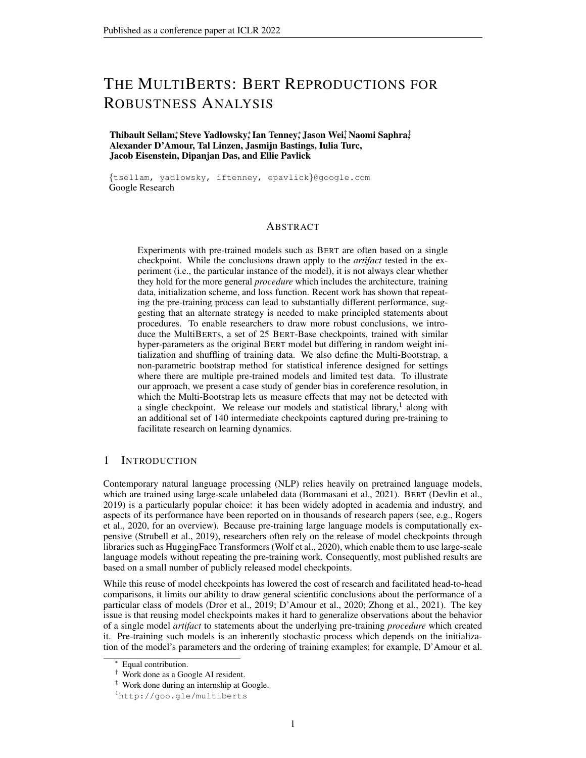# THE MULTIBERTS: BERT REPRODUCTIONS FOR ROBUSTNESS ANALYSIS

Thibault Sellam,\* Steve Yadlowsky,\* Ian Tenney,\* Jason Wei,† Naomi Saphra,‡ Alexander D'Amour, Tal Linzen, Jasmijn Bastings, Iulia Turc, Jacob Eisenstein, Dipanjan Das, and Ellie Pavlick

{tsellam, yadlowsky, iftenney, epavlick}@google.com Google Research

#### ABSTRACT

Experiments with pre-trained models such as BERT are often based on a single checkpoint. While the conclusions drawn apply to the *artifact* tested in the experiment (i.e., the particular instance of the model), it is not always clear whether they hold for the more general *procedure* which includes the architecture, training data, initialization scheme, and loss function. Recent work has shown that repeating the pre-training process can lead to substantially different performance, suggesting that an alternate strategy is needed to make principled statements about procedures. To enable researchers to draw more robust conclusions, we introduce the MultiBERTs, a set of 25 BERT-Base checkpoints, trained with similar hyper-parameters as the original BERT model but differing in random weight initialization and shuffling of training data. We also define the Multi-Bootstrap, a non-parametric bootstrap method for statistical inference designed for settings where there are multiple pre-trained models and limited test data. To illustrate our approach, we present a case study of gender bias in coreference resolution, in which the Multi-Bootstrap lets us measure effects that may not be detected with a single checkpoint. We release our models and statistical library,<sup>1</sup> along with an additional set of 140 intermediate checkpoints captured during pre-training to facilitate research on learning dynamics.

# 1 INTRODUCTION

Contemporary natural language processing (NLP) relies heavily on pretrained language models, which are trained using large-scale unlabeled data (Bommasani et al., 2021). BERT (Devlin et al., 2019) is a particularly popular choice: it has been widely adopted in academia and industry, and aspects of its performance have been reported on in thousands of research papers (see, e.g., Rogers et al., 2020, for an overview). Because pre-training large language models is computationally expensive (Strubell et al., 2019), researchers often rely on the release of model checkpoints through libraries such as HuggingFace Transformers (Wolf et al., 2020), which enable them to use large-scale language models without repeating the pre-training work. Consequently, most published results are based on a small number of publicly released model checkpoints.

While this reuse of model checkpoints has lowered the cost of research and facilitated head-to-head comparisons, it limits our ability to draw general scientific conclusions about the performance of a particular class of models (Dror et al., 2019; D'Amour et al., 2020; Zhong et al., 2021). The key issue is that reusing model checkpoints makes it hard to generalize observations about the behavior of a single model *artifact* to statements about the underlying pre-training *procedure* which created it. Pre-training such models is an inherently stochastic process which depends on the initialization of the model's parameters and the ordering of training examples; for example, D'Amour et al.

Equal contribution.

<sup>†</sup> Work done as a Google AI resident.

<sup>‡</sup> Work done during an internship at Google.

<sup>1</sup>http://goo.gle/multiberts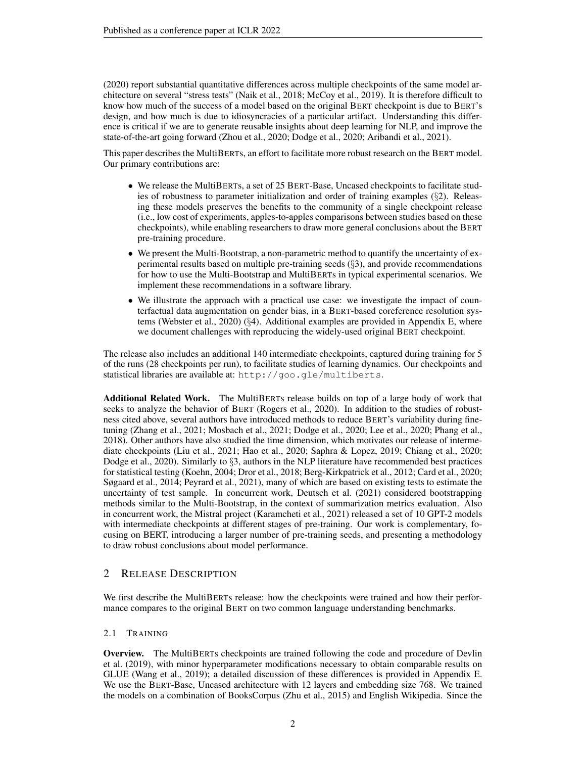(2020) report substantial quantitative differences across multiple checkpoints of the same model architecture on several "stress tests" (Naik et al., 2018; McCoy et al., 2019). It is therefore difficult to know how much of the success of a model based on the original BERT checkpoint is due to BERT's design, and how much is due to idiosyncracies of a particular artifact. Understanding this difference is critical if we are to generate reusable insights about deep learning for NLP, and improve the state-of-the-art going forward (Zhou et al., 2020; Dodge et al., 2020; Aribandi et al., 2021).

This paper describes the MultiBERTs, an effort to facilitate more robust research on the BERT model. Our primary contributions are:

- We release the MultiBERTs, a set of 25 BERT-Base, Uncased checkpoints to facilitate studies of robustness to parameter initialization and order of training examples  $(\S 2)$ . Releasing these models preserves the benefits to the community of a single checkpoint release (i.e., low cost of experiments, apples-to-apples comparisons between studies based on these checkpoints), while enabling researchers to draw more general conclusions about the BERT pre-training procedure.
- We present the Multi-Bootstrap, a non-parametric method to quantify the uncertainty of experimental results based on multiple pre-training seeds (§3), and provide recommendations for how to use the Multi-Bootstrap and MultiBERTs in typical experimental scenarios. We implement these recommendations in a software library.
- We illustrate the approach with a practical use case: we investigate the impact of counterfactual data augmentation on gender bias, in a BERT-based coreference resolution systems (Webster et al., 2020) (§4). Additional examples are provided in Appendix E, where we document challenges with reproducing the widely-used original BERT checkpoint.

The release also includes an additional 140 intermediate checkpoints, captured during training for 5 of the runs (28 checkpoints per run), to facilitate studies of learning dynamics. Our checkpoints and statistical libraries are available at: http://goo.gle/multiberts.

Additional Related Work. The MultiBERTs release builds on top of a large body of work that seeks to analyze the behavior of BERT (Rogers et al., 2020). In addition to the studies of robustness cited above, several authors have introduced methods to reduce BERT's variability during finetuning (Zhang et al., 2021; Mosbach et al., 2021; Dodge et al., 2020; Lee et al., 2020; Phang et al., 2018). Other authors have also studied the time dimension, which motivates our release of intermediate checkpoints (Liu et al., 2021; Hao et al., 2020; Saphra & Lopez, 2019; Chiang et al., 2020; Dodge et al., 2020). Similarly to §3, authors in the NLP literature have recommended best practices for statistical testing (Koehn, 2004; Dror et al., 2018; Berg-Kirkpatrick et al., 2012; Card et al., 2020; Søgaard et al., 2014; Peyrard et al., 2021), many of which are based on existing tests to estimate the uncertainty of test sample. In concurrent work, Deutsch et al. (2021) considered bootstrapping methods similar to the Multi-Bootstrap, in the context of summarization metrics evaluation. Also in concurrent work, the Mistral project (Karamcheti et al., 2021) released a set of 10 GPT-2 models with intermediate checkpoints at different stages of pre-training. Our work is complementary, focusing on BERT, introducing a larger number of pre-training seeds, and presenting a methodology to draw robust conclusions about model performance.

# 2 RELEASE DESCRIPTION

We first describe the MultiBERTs release: how the checkpoints were trained and how their performance compares to the original BERT on two common language understanding benchmarks.

# 2.1 TRAINING

Overview. The MultiBERTs checkpoints are trained following the code and procedure of Devlin et al. (2019), with minor hyperparameter modifications necessary to obtain comparable results on GLUE (Wang et al., 2019); a detailed discussion of these differences is provided in Appendix E. We use the BERT-Base, Uncased architecture with 12 layers and embedding size 768. We trained the models on a combination of BooksCorpus (Zhu et al., 2015) and English Wikipedia. Since the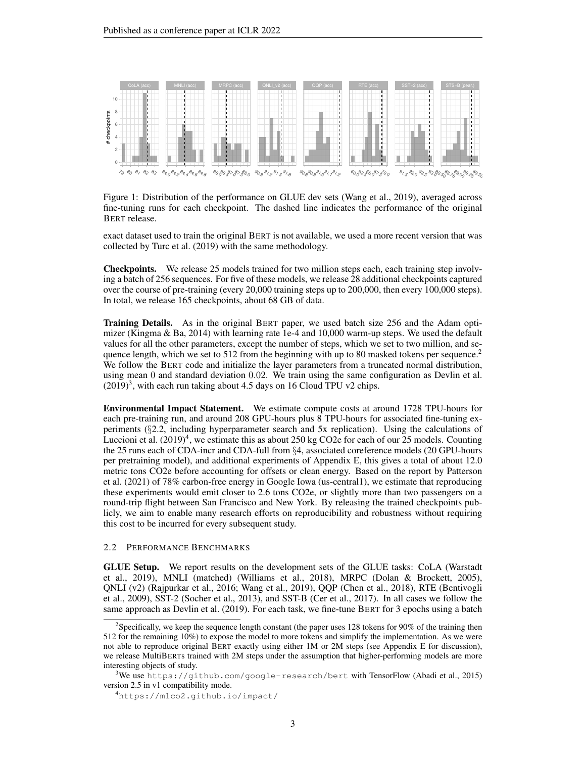

Figure 1: Distribution of the performance on GLUE dev sets (Wang et al., 2019), averaged across fine-tuning runs for each checkpoint. The dashed line indicates the performance of the original BERT release.

exact dataset used to train the original BERT is not available, we used a more recent version that was collected by Turc et al. (2019) with the same methodology.

Checkpoints. We release 25 models trained for two million steps each, each training step involving a batch of 256 sequences. For five of these models, we release 28 additional checkpoints captured over the course of pre-training (every 20,000 training steps up to 200,000, then every 100,000 steps). In total, we release 165 checkpoints, about 68 GB of data.

Training Details. As in the original BERT paper, we used batch size 256 and the Adam optimizer (Kingma & Ba, 2014) with learning rate 1e-4 and 10,000 warm-up steps. We used the default values for all the other parameters, except the number of steps, which we set to two million, and sequence length, which we set to 512 from the beginning with up to 80 masked tokens per sequence.<sup>2</sup> We follow the BERT code and initialize the layer parameters from a truncated normal distribution, using mean 0 and standard deviation 0.02. We train using the same configuration as Devlin et al.  $(2019)^3$ , with each run taking about 4.5 days on 16 Cloud TPU v2 chips.

Environmental Impact Statement. We estimate compute costs at around 1728 TPU-hours for each pre-training run, and around 208 GPU-hours plus 8 TPU-hours for associated fine-tuning experiments (§2.2, including hyperparameter search and 5x replication). Using the calculations of Luccioni et al.  $(2019)^4$ , we estimate this as about 250 kg CO2e for each of our 25 models. Counting the 25 runs each of CDA-incr and CDA-full from §4, associated coreference models (20 GPU-hours per pretraining model), and additional experiments of Appendix E, this gives a total of about 12.0 metric tons CO2e before accounting for offsets or clean energy. Based on the report by Patterson et al. (2021) of 78% carbon-free energy in Google Iowa (us-central1), we estimate that reproducing these experiments would emit closer to 2.6 tons CO2e, or slightly more than two passengers on a round-trip flight between San Francisco and New York. By releasing the trained checkpoints publicly, we aim to enable many research efforts on reproducibility and robustness without requiring this cost to be incurred for every subsequent study.

#### 2.2 PERFORMANCE BENCHMARKS

GLUE Setup. We report results on the development sets of the GLUE tasks: CoLA (Warstadt et al., 2019), MNLI (matched) (Williams et al., 2018), MRPC (Dolan & Brockett, 2005), QNLI (v2) (Rajpurkar et al., 2016; Wang et al., 2019), QQP (Chen et al., 2018), RTE (Bentivogli et al., 2009), SST-2 (Socher et al., 2013), and SST-B (Cer et al., 2017). In all cases we follow the same approach as Devlin et al. (2019). For each task, we fine-tune BERT for 3 epochs using a batch

<sup>&</sup>lt;sup>2</sup>Specifically, we keep the sequence length constant (the paper uses 128 tokens for 90% of the training then 512 for the remaining 10%) to expose the model to more tokens and simplify the implementation. As we were not able to reproduce original BERT exactly using either 1M or 2M steps (see Appendix E for discussion), we release MultiBERTs trained with 2M steps under the assumption that higher-performing models are more interesting objects of study.

<sup>&</sup>lt;sup>3</sup>We use https://github.com/google-research/bert with TensorFlow (Abadi et al., 2015) version 2.5 in v1 compatibility mode.

<sup>4</sup>https://mlco2.github.io/impact/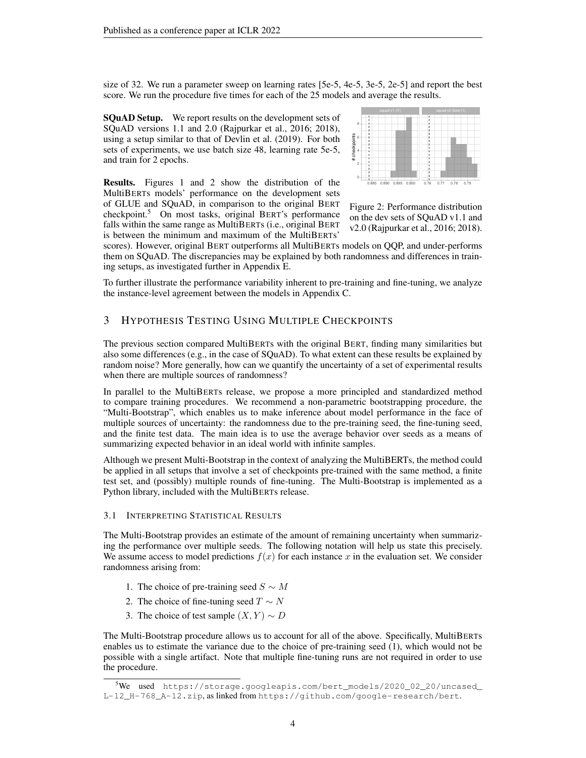size of 32. We run a parameter sweep on learning rates [5e-5, 4e-5, 3e-5, 2e-5] and report the best score. We run the procedure five times for each of the 25 models and average the results.

**SQuAD Setup.** We report results on the development sets of SQuAD versions 1.1 and 2.0 (Rajpurkar et al., 2016; 2018), using a setup similar to that of Devlin et al. (2019). For both sets of experiments, we use batch size 48, learning rate 5e-5, and train for 2 epochs.

Results. Figures 1 and 2 show the distribution of the MultiBERTs models' performance on the development sets of GLUE and SQuAD, in comparison to the original BERT checkpoint.<sup>5</sup> On most tasks, original BERT's performance falls within the same range as MultiBERTs (i.e., original BERT is between the minimum and maximum of the MultiBERTs'



Figure 2: Performance distribution on the dev sets of SQuAD v1.1 and v2.0 (Rajpurkar et al., 2016; 2018).

scores). However, original BERT outperforms all MultiBERTs models on QQP, and under-performs them on SQuAD. The discrepancies may be explained by both randomness and differences in training setups, as investigated further in Appendix E.

To further illustrate the performance variability inherent to pre-training and fine-tuning, we analyze the instance-level agreement between the models in Appendix C.

# 3 HYPOTHESIS TESTING USING MULTIPLE CHECKPOINTS

The previous section compared MultiBERTs with the original BERT, finding many similarities but also some differences (e.g., in the case of SQuAD). To what extent can these results be explained by random noise? More generally, how can we quantify the uncertainty of a set of experimental results when there are multiple sources of randomness?

In parallel to the MultiBERTs release, we propose a more principled and standardized method to compare training procedures. We recommend a non-parametric bootstrapping procedure, the "Multi-Bootstrap", which enables us to make inference about model performance in the face of multiple sources of uncertainty: the randomness due to the pre-training seed, the fine-tuning seed, and the finite test data. The main idea is to use the average behavior over seeds as a means of summarizing expected behavior in an ideal world with infinite samples.

Although we present Multi-Bootstrap in the context of analyzing the MultiBERTs, the method could be applied in all setups that involve a set of checkpoints pre-trained with the same method, a finite test set, and (possibly) multiple rounds of fine-tuning. The Multi-Bootstrap is implemented as a Python library, included with the MultiBERTs release.

#### 3.1 INTERPRETING STATISTICAL RESULTS

The Multi-Bootstrap provides an estimate of the amount of remaining uncertainty when summarizing the performance over multiple seeds. The following notation will help us state this precisely. We assume access to model predictions  $f(x)$  for each instance x in the evaluation set. We consider randomness arising from:

- 1. The choice of pre-training seed  $S \sim M$
- 2. The choice of fine-tuning seed  $T \sim N$
- 3. The choice of test sample  $(X, Y) \sim D$

The Multi-Bootstrap procedure allows us to account for all of the above. Specifically, MultiBERTs enables us to estimate the variance due to the choice of pre-training seed (1), which would not be possible with a single artifact. Note that multiple fine-tuning runs are not required in order to use the procedure.

<sup>5</sup>We used https://storage.googleapis.com/bert\_models/2020\_02\_20/uncased\_ L-12\_H-768\_A-12.zip, as linked from https://github.com/google-research/bert.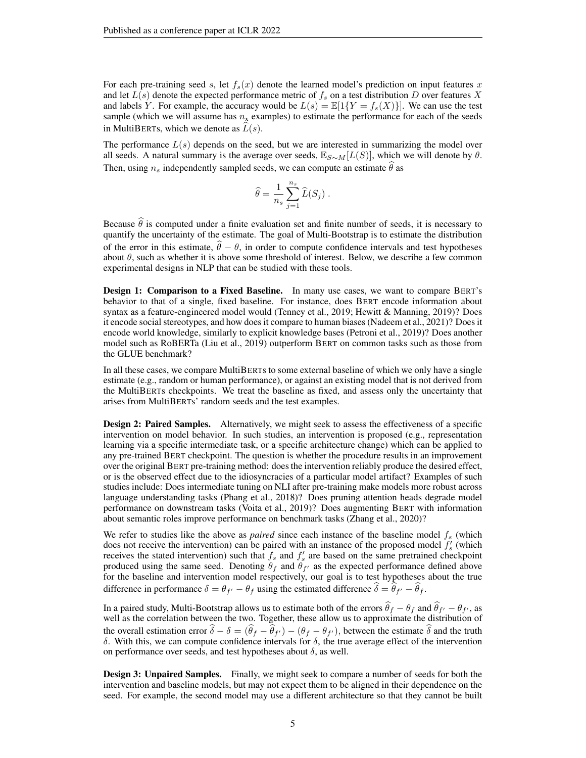For each pre-training seed s, let  $f_s(x)$  denote the learned model's prediction on input features x and let  $L(s)$  denote the expected performance metric of  $f_s$  on a test distribution D over features X and labels Y. For example, the accuracy would be  $L(s) = \mathbb{E}[1\{Y = f_s(X)\}]$ . We can use the test sample (which we will assume has  $n_x$  examples) to estimate the performance for each of the seeds in MultiBERTs, which we denote as  $\hat{L}(s)$ .

The performance  $L(s)$  depends on the seed, but we are interested in summarizing the model over all seeds. A natural summary is the average over seeds,  $\mathbb{E}_{S \sim M}[L(S)]$ , which we will denote by  $\theta$ . Then, using  $n_s$  independently sampled seeds, we can compute an estimate  $\hat{\theta}$  as

$$
\widehat{\theta} = \frac{1}{n_s} \sum_{j=1}^{n_s} \widehat{L}(S_j) .
$$

Because  $\hat{\theta}$  is computed under a finite evaluation set and finite number of seeds, it is necessary to quantify the uncertainty of the estimate. The goal of Multi-Bootstrap is to estimate the distribution of the error in this estimate,  $\hat{\theta} - \theta$ , in order to compute confidence intervals and test hypotheses about  $\theta$ , such as whether it is above some threshold of interest. Below, we describe a few common experimental designs in NLP that can be studied with these tools.

Design 1: Comparison to a Fixed Baseline. In many use cases, we want to compare BERT's behavior to that of a single, fixed baseline. For instance, does BERT encode information about syntax as a feature-engineered model would (Tenney et al., 2019; Hewitt & Manning, 2019)? Does it encode social stereotypes, and how does it compare to human biases (Nadeem et al., 2021)? Does it encode world knowledge, similarly to explicit knowledge bases (Petroni et al., 2019)? Does another model such as RoBERTa (Liu et al., 2019) outperform BERT on common tasks such as those from the GLUE benchmark?

In all these cases, we compare MultiBERTs to some external baseline of which we only have a single estimate (e.g., random or human performance), or against an existing model that is not derived from the MultiBERTs checkpoints. We treat the baseline as fixed, and assess only the uncertainty that arises from MultiBERTs' random seeds and the test examples.

**Design 2: Paired Samples.** Alternatively, we might seek to assess the effectiveness of a specific intervention on model behavior. In such studies, an intervention is proposed (e.g., representation learning via a specific intermediate task, or a specific architecture change) which can be applied to any pre-trained BERT checkpoint. The question is whether the procedure results in an improvement over the original BERT pre-training method: does the intervention reliably produce the desired effect, or is the observed effect due to the idiosyncracies of a particular model artifact? Examples of such studies include: Does intermediate tuning on NLI after pre-training make models more robust across language understanding tasks (Phang et al., 2018)? Does pruning attention heads degrade model performance on downstream tasks (Voita et al., 2019)? Does augmenting BERT with information about semantic roles improve performance on benchmark tasks (Zhang et al., 2020)?

We refer to studies like the above as *paired* since each instance of the baseline model  $f_s$  (which does not receive the intervention) can be paired with an instance of the proposed model  $f'_{s}$  (which receives the stated intervention) such that  $f_s$  and  $f'_s$  are based on the same pretrained checkpoint produced using the same seed. Denoting  $\theta_f$  and  $\theta_{f'}$  as the expected performance defined above for the baseline and intervention model respectively, our goal is to test hypotheses about the true difference in performance  $\delta = \theta_{f'} - \theta_f$  using the estimated difference  $\delta = \theta_{f'} - \theta_f$ .

In a paired study, Multi-Bootstrap allows us to estimate both of the errors  $\theta_f - \theta_f$  and  $\theta_{f'} - \theta_{f'}$ , as well as the correlation between the two. Together, these allow us to approximate the distribution of the overall estimation error  $\delta - \delta = (\theta_f - \theta_{f'}) - (\theta_f - \theta_{f'})$ , between the estimate  $\delta$  and the truth δ. With this, we can compute confidence intervals for δ, the true average effect of the intervention on performance over seeds, and test hypotheses about  $\delta$ , as well.

Design 3: Unpaired Samples. Finally, we might seek to compare a number of seeds for both the intervention and baseline models, but may not expect them to be aligned in their dependence on the seed. For example, the second model may use a different architecture so that they cannot be built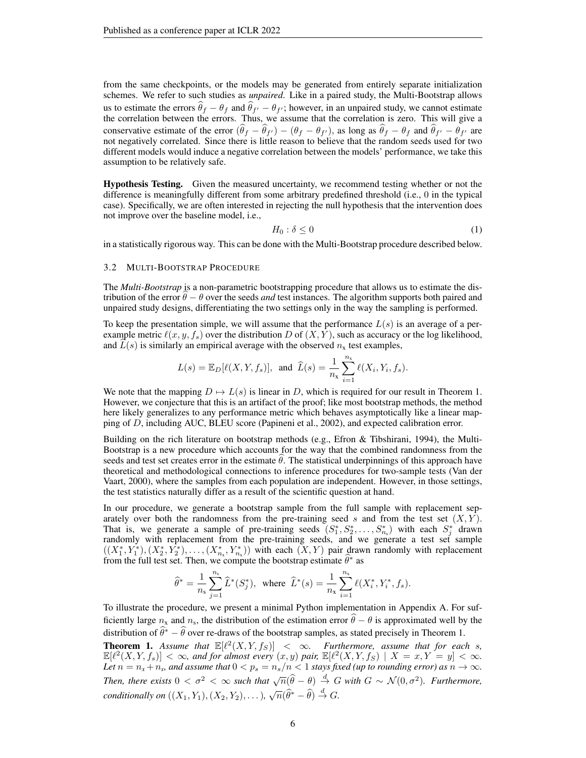from the same checkpoints, or the models may be generated from entirely separate initialization schemes. We refer to such studies as *unpaired*. Like in a paired study, the Multi-Bootstrap allows us to estimate the errors  $\theta_f - \theta_f$  and  $\theta_{f'} - \theta_{f'}$ ; however, in an unpaired study, we cannot estimate the correlation between the errors. Thus, we assume that the correlation is zero. This will give a conservative estimate of the error  $(\theta_f - \theta_{f'}) - (\theta_f - \theta_{f'})$ , as long as  $\theta_f - \theta_f$  and  $\theta_{f'} - \theta_{f'}$  are not negatively correlated. Since there is little reason to believe that the random seeds used for two different models would induce a negative correlation between the models' performance, we take this assumption to be relatively safe.

Hypothesis Testing. Given the measured uncertainty, we recommend testing whether or not the difference is meaningfully different from some arbitrary predefined threshold (i.e., 0 in the typical case). Specifically, we are often interested in rejecting the null hypothesis that the intervention does not improve over the baseline model, i.e.,

$$
H_0: \delta \le 0 \tag{1}
$$

in a statistically rigorous way. This can be done with the Multi-Bootstrap procedure described below.

#### 3.2 MULTI-BOOTSTRAP PROCEDURE

The *Multi-Bootstrap* is a non-parametric bootstrapping procedure that allows us to estimate the distribution of the error  $\theta - \theta$  over the seeds *and* test instances. The algorithm supports both paired and unpaired study designs, differentiating the two settings only in the way the sampling is performed.

To keep the presentation simple, we will assume that the performance  $L(s)$  is an average of a perexample metric  $\ell(x, y, f_s)$  over the distribution D of  $(X, Y)$ , such as accuracy or the log likelihood, and  $L(s)$  is similarly an empirical average with the observed  $n_x$  test examples,

$$
L(s) = \mathbb{E}_D[\ell(X, Y, f_s)], \text{ and } \hat{L}(s) = \frac{1}{n_x} \sum_{i=1}^{n_x} \ell(X_i, Y_i, f_s).
$$

We note that the mapping  $D \mapsto L(s)$  is linear in D, which is required for our result in Theorem 1. However, we conjecture that this is an artifact of the proof; like most bootstrap methods, the method here likely generalizes to any performance metric which behaves asymptotically like a linear mapping of D, including AUC, BLEU score (Papineni et al., 2002), and expected calibration error.

Building on the rich literature on bootstrap methods (e.g., Efron & Tibshirani, 1994), the Multi-Bootstrap is a new procedure which accounts for the way that the combined randomness from the seeds and test set creates error in the estimate  $\theta$ . The statistical underpinnings of this approach have theoretical and methodological connections to inference procedures for two-sample tests (Van der Vaart, 2000), where the samples from each population are independent. However, in those settings, the test statistics naturally differ as a result of the scientific question at hand.

In our procedure, we generate a bootstrap sample from the full sample with replacement separately over both the randomness from the pre-training seed s and from the test set  $(X, Y)$ . That is, we generate a sample of pre-training seeds  $(S_1^*, S_2^*, \ldots, S_{n_s}^*)$  with each  $S_j^*$  drawn randomly with replacement from the pre-training seeds, and we generate a test set sample  $((X_1^*, Y_1^*), (X_2^*, Y_2^*), \ldots, (X_{n_x}^*, Y_{n_x}^*))$  with each  $(X, Y)$  pair drawn randomly with replacement from the full test set. Then, we compute the bootstrap estimate  $\theta^*$  as

$$
\widehat{\theta}^* = \frac{1}{n_{\mathrm{s}}}\sum_{j=1}^{n_{\mathrm{s}}}\widehat{L}^*(S_j^*), \ \ \text{where} \ \ \widehat{L}^*(s) = \frac{1}{n_{\mathrm{x}}}\sum_{i=1}^{n_{\mathrm{x}}}\ell(X_i^*,Y_i^*,f_s).
$$

To illustrate the procedure, we present a minimal Python implementation in Appendix A. For sufficiently large  $n_x$  and  $n_s$ , the distribution of the estimation error  $\theta - \theta$  is approximated well by the distribution of  $\hat{\theta}^* - \hat{\theta}$  over re-draws of the bootstrap samples, as stated precisely in Theorem 1. **Theorem 1.** Assume that  $\mathbb{E}[\ell^2(X, Y, f_S)] < \infty$ . Furthermore, assume that for each s,  $\mathbb{E}[\ell^2(X, Y, f_S)] < \infty$ , and for almost every  $(x, y)$  pair,  $\mathbb{E}[\ell^2(X, Y, f_S) | X = x, Y = y] < \infty$ . Let  $n = n_x + n_s$ , and assume that  $0 < p_s = n_s/n < 1$  stays fixed (up to rounding error) as  $n \to \infty$ . *Then, there exists*  $0 < \sigma^2 < \infty$  *such that*  $\sqrt{n}(\widehat{\theta} - \theta) \stackrel{d}{\rightarrow} G$  *with*  $G \sim \mathcal{N}(0, \sigma^2)$ *. Furthermore, conditionally on*  $((X_1, Y_1), (X_2, Y_2), \ldots), \sqrt{n}(\widehat{\theta}^* - \widehat{\theta}) \stackrel{d}{\rightarrow} G$ .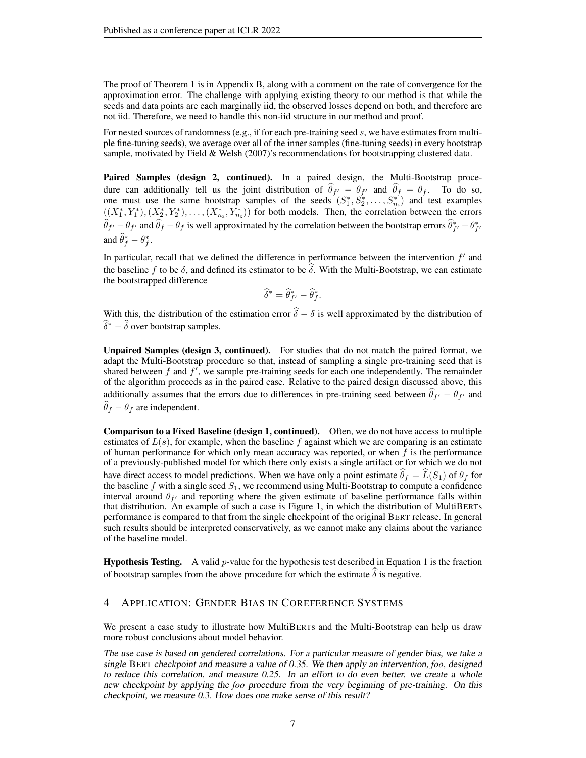The proof of Theorem 1 is in Appendix B, along with a comment on the rate of convergence for the approximation error. The challenge with applying existing theory to our method is that while the seeds and data points are each marginally iid, the observed losses depend on both, and therefore are not iid. Therefore, we need to handle this non-iid structure in our method and proof.

For nested sources of randomness (e.g., if for each pre-training seed s, we have estimates from multiple fine-tuning seeds), we average over all of the inner samples (fine-tuning seeds) in every bootstrap sample, motivated by Field & Welsh (2007)'s recommendations for bootstrapping clustered data.

Paired Samples (design 2, continued). In a paired design, the Multi-Bootstrap procedure can additionally tell us the joint distribution of  $\theta_{f'} - \theta_{f'}$  and  $\theta_f - \theta_f$ . To do so, one must use the same bootstrap samples of the seeds  $(S_1^*, S_2^*, \ldots, S_{n_s}^*)$  and test examples  $((X_1^*, Y_1^*), (X_2^*, Y_2^*), \ldots, (X_{n_x}^*, Y_{n_x}^*))$  for both models. Then, the correlation between the errors  $\theta_{f'} - \theta_{f'}$  and  $\theta_f - \theta_f$  is well approximated by the correlation between the bootstrap errors  $\theta_{f'}^* - \theta_{f'}^*$ and  $\theta_f^* - \theta_f^*$ .

In particular, recall that we defined the difference in performance between the intervention  $f'$  and the baseline f to be  $\delta$ , and defined its estimator to be  $\delta$ . With the Multi-Bootstrap, we can estimate the bootstrapped difference

$$
\widehat{\delta}^* = \widehat{\theta}_{f'}^* - \widehat{\theta}_f^*.
$$

With this, the distribution of the estimation error  $\hat{\delta} - \delta$  is well approximated by the distribution of  $\widehat{\delta}^* - \widehat{\delta}$  over bootstrap samples.

Unpaired Samples (design 3, continued). For studies that do not match the paired format, we adapt the Multi-Bootstrap procedure so that, instead of sampling a single pre-training seed that is shared between  $f$  and  $f'$ , we sample pre-training seeds for each one independently. The remainder of the algorithm proceeds as in the paired case. Relative to the paired design discussed above, this additionally assumes that the errors due to differences in pre-training seed between  $\theta_{f'} - \theta_{f'}$  and  $\theta_f - \theta_f$  are independent.

Comparison to a Fixed Baseline (design 1, continued). Often, we do not have access to multiple estimates of  $L(s)$ , for example, when the baseline f against which we are comparing is an estimate of human performance for which only mean accuracy was reported, or when  $f$  is the performance of a previously-published model for which there only exists a single artifact or for which we do not have direct access to model predictions. When we have only a point estimate  $\hat{\theta}_f = \hat{L}(S_1)$  of  $\theta_f$  for the baseline f with a single seed  $S_1$ , we recommend using Multi-Bootstrap to compute a confidence interval around  $\theta_{f'}$  and reporting where the given estimate of baseline performance falls within that distribution. An example of such a case is Figure 1, in which the distribution of MultiBERTs performance is compared to that from the single checkpoint of the original BERT release. In general such results should be interpreted conservatively, as we cannot make any claims about the variance of the baseline model.

**Hypothesis Testing.** A valid  $p$ -value for the hypothesis test described in Equation 1 is the fraction of bootstrap samples from the above procedure for which the estimate  $\delta$  is negative.

# 4 APPLICATION: GENDER BIAS IN COREFERENCE SYSTEMS

We present a case study to illustrate how MultiBERTs and the Multi-Bootstrap can help us draw more robust conclusions about model behavior.

The use case is based on gendered correlations. For a particular measure of gender bias, we take a single BERT checkpoint and measure a value of 0.35. We then apply an intervention, *foo*, designed to reduce this correlation, and measure 0.25. In an effort to do even better, we create a whole new checkpoint by applying the *foo* procedure from the very beginning of pre-training. On this checkpoint, we measure 0.3. How does one make sense of this result?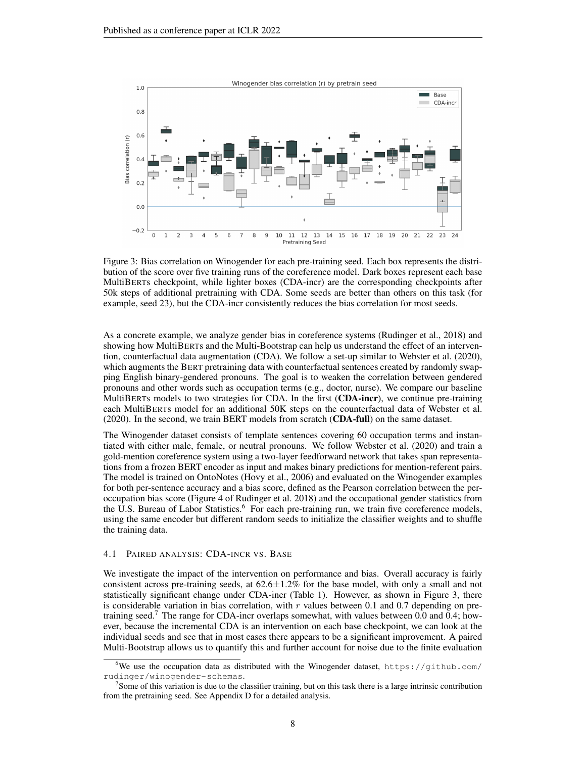

Figure 3: Bias correlation on Winogender for each pre-training seed. Each box represents the distribution of the score over five training runs of the coreference model. Dark boxes represent each base MultiBERTs checkpoint, while lighter boxes (CDA-incr) are the corresponding checkpoints after 50k steps of additional pretraining with CDA. Some seeds are better than others on this task (for example, seed 23), but the CDA-incr consistently reduces the bias correlation for most seeds.

As a concrete example, we analyze gender bias in coreference systems (Rudinger et al., 2018) and showing how MultiBERTs and the Multi-Bootstrap can help us understand the effect of an intervention, counterfactual data augmentation (CDA). We follow a set-up similar to Webster et al. (2020), which augments the BERT pretraining data with counterfactual sentences created by randomly swapping English binary-gendered pronouns. The goal is to weaken the correlation between gendered pronouns and other words such as occupation terms (e.g., doctor, nurse). We compare our baseline MultiBERTs models to two strategies for CDA. In the first (CDA-incr), we continue pre-training each MultiBERTs model for an additional 50K steps on the counterfactual data of Webster et al. (2020). In the second, we train BERT models from scratch (CDA-full) on the same dataset.

The Winogender dataset consists of template sentences covering 60 occupation terms and instantiated with either male, female, or neutral pronouns. We follow Webster et al. (2020) and train a gold-mention coreference system using a two-layer feedforward network that takes span representations from a frozen BERT encoder as input and makes binary predictions for mention-referent pairs. The model is trained on OntoNotes (Hovy et al., 2006) and evaluated on the Winogender examples for both per-sentence accuracy and a bias score, defined as the Pearson correlation between the peroccupation bias score (Figure 4 of Rudinger et al. 2018) and the occupational gender statistics from the U.S. Bureau of Labor Statistics.<sup>6</sup> For each pre-training run, we train five coreference models, using the same encoder but different random seeds to initialize the classifier weights and to shuffle the training data.

#### 4.1 PAIRED ANALYSIS: CDA-INCR VS. BASE

We investigate the impact of the intervention on performance and bias. Overall accuracy is fairly consistent across pre-training seeds, at 62.6±1.2% for the base model, with only a small and not statistically significant change under CDA-incr (Table 1). However, as shown in Figure 3, there is considerable variation in bias correlation, with  $r$  values between 0.1 and 0.7 depending on pretraining seed.<sup>7</sup> The range for CDA-incr overlaps somewhat, with values between  $0.0$  and  $0.4$ ; however, because the incremental CDA is an intervention on each base checkpoint, we can look at the individual seeds and see that in most cases there appears to be a significant improvement. A paired Multi-Bootstrap allows us to quantify this and further account for noise due to the finite evaluation

 $6W$ e use the occupation data as distributed with the Winogender dataset, https://github.com/ rudinger/winogender-schemas.

<sup>&</sup>lt;sup>7</sup> Some of this variation is due to the classifier training, but on this task there is a large intrinsic contribution from the pretraining seed. See Appendix D for a detailed analysis.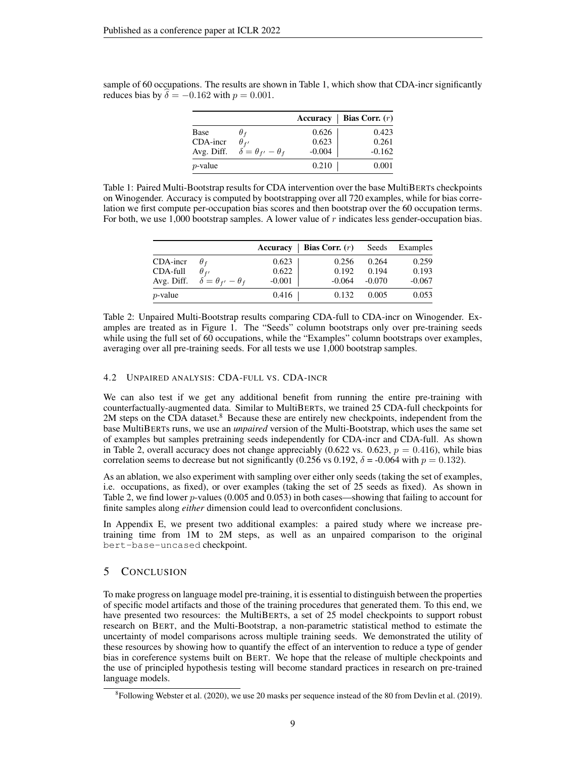sample of 60 occupations. The results are shown in Table 1, which show that CDA-incr significantly reduces bias by  $\delta = -0.162$  with  $p = 0.001$ .

|            |                                              |          | Accuracy   Bias Corr. $(r)$ |
|------------|----------------------------------------------|----------|-----------------------------|
| Base       | $\theta_f$                                   | 0.626    | 0.423                       |
| CDA-incr   | $\theta$ f $\prime$                          | 0.623    | 0.261                       |
|            | Avg. Diff. $\delta = \theta_{f'} - \theta_f$ | $-0.004$ | $-0.162$                    |
| $p$ -value |                                              | 0.210    | 0.001                       |

Table 1: Paired Multi-Bootstrap results for CDA intervention over the base MultiBERTs checkpoints on Winogender. Accuracy is computed by bootstrapping over all 720 examples, while for bias correlation we first compute per-occupation bias scores and then bootstrap over the 60 occupation terms. For both, we use 1,000 bootstrap samples. A lower value of  $r$  indicates less gender-occupation bias.

|            |                                   | Accuracy | <b>Bias Corr.</b> $(r)$ | Seeds    | Examples |
|------------|-----------------------------------|----------|-------------------------|----------|----------|
| CDA-incr   | $\theta$ f                        | 0.623    | 0.256                   | 0.264    | 0.259    |
| CDA-full   | $\theta$ f                        | 0.622    | 0.192                   | 0.194    | 0.193    |
| Avg. Diff. | $\delta = \theta_{f'} - \theta_f$ | $-0.001$ | $-0.064$                | $-0.070$ | $-0.067$ |
| $p$ -value |                                   | 0.416    | 0.132                   | 0.005    | 0.053    |

Table 2: Unpaired Multi-Bootstrap results comparing CDA-full to CDA-incr on Winogender. Examples are treated as in Figure 1. The "Seeds" column bootstraps only over pre-training seeds while using the full set of 60 occupations, while the "Examples" column bootstraps over examples, averaging over all pre-training seeds. For all tests we use 1,000 bootstrap samples.

## 4.2 UNPAIRED ANALYSIS: CDA-FULL VS. CDA-INCR

We can also test if we get any additional benefit from running the entire pre-training with counterfactually-augmented data. Similar to MultiBERTs, we trained 25 CDA-full checkpoints for 2M steps on the CDA dataset.<sup>8</sup> Because these are entirely new checkpoints, independent from the base MultiBERTs runs, we use an *unpaired* version of the Multi-Bootstrap, which uses the same set of examples but samples pretraining seeds independently for CDA-incr and CDA-full. As shown in Table 2, overall accuracy does not change appreciably (0.622 vs. 0.623,  $p = 0.416$ ), while bias correlation seems to decrease but not significantly (0.256 vs 0.192,  $\delta$  = -0.064 with  $p = 0.132$ ).

As an ablation, we also experiment with sampling over either only seeds (taking the set of examples, i.e. occupations, as fixed), or over examples (taking the set of 25 seeds as fixed). As shown in Table 2, we find lower *p*-values (0.005 and 0.053) in both cases—showing that failing to account for finite samples along *either* dimension could lead to overconfident conclusions.

In Appendix E, we present two additional examples: a paired study where we increase pretraining time from 1M to 2M steps, as well as an unpaired comparison to the original bert-base-uncased checkpoint.

# 5 CONCLUSION

To make progress on language model pre-training, it is essential to distinguish between the properties of specific model artifacts and those of the training procedures that generated them. To this end, we have presented two resources: the MultiBERTs, a set of 25 model checkpoints to support robust research on BERT, and the Multi-Bootstrap, a non-parametric statistical method to estimate the uncertainty of model comparisons across multiple training seeds. We demonstrated the utility of these resources by showing how to quantify the effect of an intervention to reduce a type of gender bias in coreference systems built on BERT. We hope that the release of multiple checkpoints and the use of principled hypothesis testing will become standard practices in research on pre-trained language models.

<sup>8</sup> Following Webster et al. (2020), we use 20 masks per sequence instead of the 80 from Devlin et al. (2019).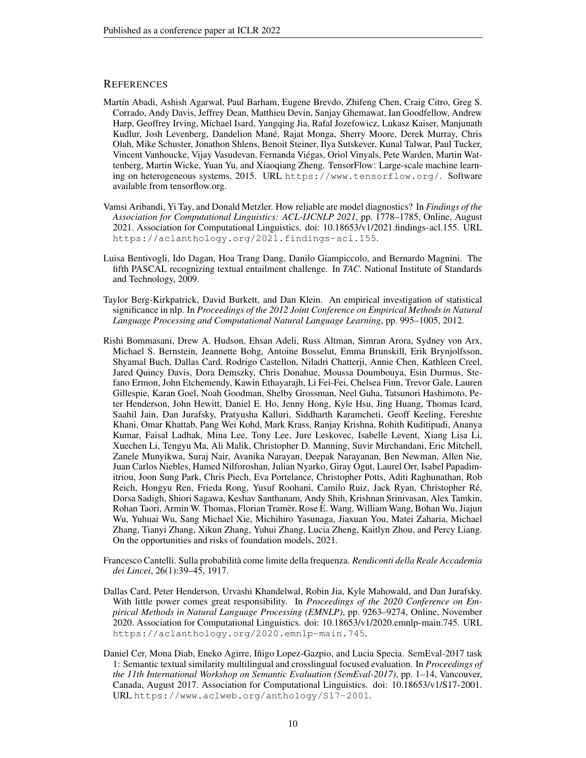#### **REFERENCES**

- Martín Abadi, Ashish Agarwal, Paul Barham, Eugene Brevdo, Zhifeng Chen, Craig Citro, Greg S. Corrado, Andy Davis, Jeffrey Dean, Matthieu Devin, Sanjay Ghemawat, Ian Goodfellow, Andrew Harp, Geoffrey Irving, Michael Isard, Yangqing Jia, Rafal Jozefowicz, Lukasz Kaiser, Manjunath Kudlur, Josh Levenberg, Dandelion Mane, Rajat Monga, Sherry Moore, Derek Murray, Chris ´ Olah, Mike Schuster, Jonathon Shlens, Benoit Steiner, Ilya Sutskever, Kunal Talwar, Paul Tucker, Vincent Vanhoucke, Vijay Vasudevan, Fernanda Viegas, Oriol Vinyals, Pete Warden, Martin Wat- ´ tenberg, Martin Wicke, Yuan Yu, and Xiaoqiang Zheng. TensorFlow: Large-scale machine learning on heterogeneous systems, 2015. URL https://www.tensorflow.org/. Software available from tensorflow.org.
- Vamsi Aribandi, Yi Tay, and Donald Metzler. How reliable are model diagnostics? In *Findings of the Association for Computational Linguistics: ACL-IJCNLP 2021*, pp. 1778–1785, Online, August 2021. Association for Computational Linguistics. doi: 10.18653/v1/2021.findings-acl.155. URL https://aclanthology.org/2021.findings-acl.155.
- Luisa Bentivogli, Ido Dagan, Hoa Trang Dang, Danilo Giampiccolo, and Bernardo Magnini. The fifth PASCAL recognizing textual entailment challenge. In *TAC*. National Institute of Standards and Technology, 2009.
- Taylor Berg-Kirkpatrick, David Burkett, and Dan Klein. An empirical investigation of statistical significance in nlp. In *Proceedings of the 2012 Joint Conference on Empirical Methods in Natural Language Processing and Computational Natural Language Learning*, pp. 995–1005, 2012.
- Rishi Bommasani, Drew A. Hudson, Ehsan Adeli, Russ Altman, Simran Arora, Sydney von Arx, Michael S. Bernstein, Jeannette Bohg, Antoine Bosselut, Emma Brunskill, Erik Brynjolfsson, Shyamal Buch, Dallas Card, Rodrigo Castellon, Niladri Chatterji, Annie Chen, Kathleen Creel, Jared Quincy Davis, Dora Demszky, Chris Donahue, Moussa Doumbouya, Esin Durmus, Stefano Ermon, John Etchemendy, Kawin Ethayarajh, Li Fei-Fei, Chelsea Finn, Trevor Gale, Lauren Gillespie, Karan Goel, Noah Goodman, Shelby Grossman, Neel Guha, Tatsunori Hashimoto, Peter Henderson, John Hewitt, Daniel E. Ho, Jenny Hong, Kyle Hsu, Jing Huang, Thomas Icard, Saahil Jain, Dan Jurafsky, Pratyusha Kalluri, Siddharth Karamcheti, Geoff Keeling, Fereshte Khani, Omar Khattab, Pang Wei Kohd, Mark Krass, Ranjay Krishna, Rohith Kuditipudi, Ananya Kumar, Faisal Ladhak, Mina Lee, Tony Lee, Jure Leskovec, Isabelle Levent, Xiang Lisa Li, Xuechen Li, Tengyu Ma, Ali Malik, Christopher D. Manning, Suvir Mirchandani, Eric Mitchell, Zanele Munyikwa, Suraj Nair, Avanika Narayan, Deepak Narayanan, Ben Newman, Allen Nie, Juan Carlos Niebles, Hamed Nilforoshan, Julian Nyarko, Giray Ogut, Laurel Orr, Isabel Papadimitriou, Joon Sung Park, Chris Piech, Eva Portelance, Christopher Potts, Aditi Raghunathan, Rob Reich, Hongyu Ren, Frieda Rong, Yusuf Roohani, Camilo Ruiz, Jack Ryan, Christopher Re,´ Dorsa Sadigh, Shiori Sagawa, Keshav Santhanam, Andy Shih, Krishnan Srinivasan, Alex Tamkin, Rohan Taori, Armin W. Thomas, Florian Tramer, Rose E. Wang, William Wang, Bohan Wu, Jiajun ` Wu, Yuhuai Wu, Sang Michael Xie, Michihiro Yasunaga, Jiaxuan You, Matei Zaharia, Michael Zhang, Tianyi Zhang, Xikun Zhang, Yuhui Zhang, Lucia Zheng, Kaitlyn Zhou, and Percy Liang. On the opportunities and risks of foundation models, 2021.
- Francesco Cantelli. Sulla probabilita come limite della frequenza. ` *Rendiconti della Reale Accademia dei Lincei*, 26(1):39–45, 1917.
- Dallas Card, Peter Henderson, Urvashi Khandelwal, Robin Jia, Kyle Mahowald, and Dan Jurafsky. With little power comes great responsibility. In *Proceedings of the 2020 Conference on Empirical Methods in Natural Language Processing (EMNLP)*, pp. 9263–9274, Online, November 2020. Association for Computational Linguistics. doi: 10.18653/v1/2020.emnlp-main.745. URL https://aclanthology.org/2020.emnlp-main.745.
- Daniel Cer, Mona Diab, Eneko Agirre, Inigo Lopez-Gazpio, and Lucia Specia. SemEval-2017 task ˜ 1: Semantic textual similarity multilingual and crosslingual focused evaluation. In *Proceedings of the 11th International Workshop on Semantic Evaluation (SemEval-2017)*, pp. 1–14, Vancouver, Canada, August 2017. Association for Computational Linguistics. doi: 10.18653/v1/S17-2001. URL https://www.aclweb.org/anthology/S17-2001.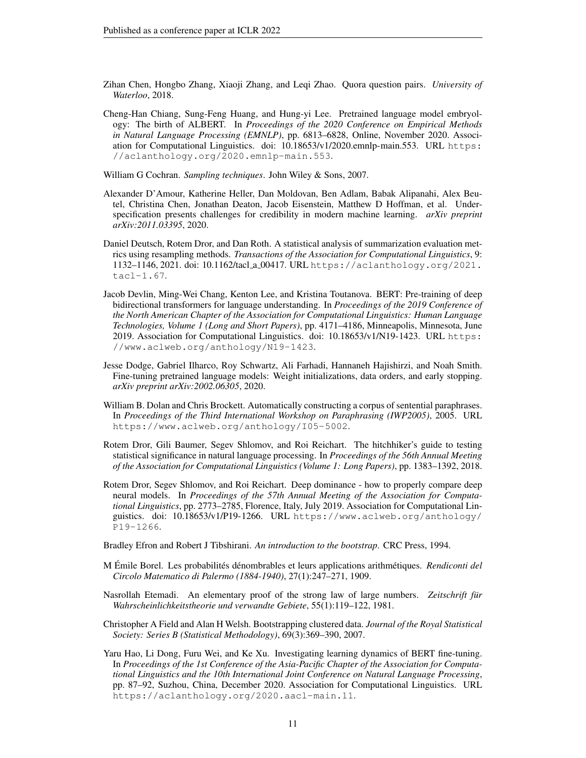- Zihan Chen, Hongbo Zhang, Xiaoji Zhang, and Leqi Zhao. Quora question pairs. *University of Waterloo*, 2018.
- Cheng-Han Chiang, Sung-Feng Huang, and Hung-yi Lee. Pretrained language model embryology: The birth of ALBERT. In *Proceedings of the 2020 Conference on Empirical Methods in Natural Language Processing (EMNLP)*, pp. 6813–6828, Online, November 2020. Association for Computational Linguistics. doi: 10.18653/v1/2020.emnlp-main.553. URL https: //aclanthology.org/2020.emnlp-main.553.

William G Cochran. *Sampling techniques*. John Wiley & Sons, 2007.

- Alexander D'Amour, Katherine Heller, Dan Moldovan, Ben Adlam, Babak Alipanahi, Alex Beutel, Christina Chen, Jonathan Deaton, Jacob Eisenstein, Matthew D Hoffman, et al. Underspecification presents challenges for credibility in modern machine learning. *arXiv preprint arXiv:2011.03395*, 2020.
- Daniel Deutsch, Rotem Dror, and Dan Roth. A statistical analysis of summarization evaluation metrics using resampling methods. *Transactions of the Association for Computational Linguistics*, 9: 1132–1146, 2021. doi: 10.1162/tacl a 00417. URL https://aclanthology.org/2021. tacl-1.67.
- Jacob Devlin, Ming-Wei Chang, Kenton Lee, and Kristina Toutanova. BERT: Pre-training of deep bidirectional transformers for language understanding. In *Proceedings of the 2019 Conference of the North American Chapter of the Association for Computational Linguistics: Human Language Technologies, Volume 1 (Long and Short Papers)*, pp. 4171–4186, Minneapolis, Minnesota, June 2019. Association for Computational Linguistics. doi: 10.18653/v1/N19-1423. URL https: //www.aclweb.org/anthology/N19-1423.
- Jesse Dodge, Gabriel Ilharco, Roy Schwartz, Ali Farhadi, Hannaneh Hajishirzi, and Noah Smith. Fine-tuning pretrained language models: Weight initializations, data orders, and early stopping. *arXiv preprint arXiv:2002.06305*, 2020.
- William B. Dolan and Chris Brockett. Automatically constructing a corpus of sentential paraphrases. In *Proceedings of the Third International Workshop on Paraphrasing (IWP2005)*, 2005. URL https://www.aclweb.org/anthology/I05-5002.
- Rotem Dror, Gili Baumer, Segev Shlomov, and Roi Reichart. The hitchhiker's guide to testing statistical significance in natural language processing. In *Proceedings of the 56th Annual Meeting of the Association for Computational Linguistics (Volume 1: Long Papers)*, pp. 1383–1392, 2018.
- Rotem Dror, Segev Shlomov, and Roi Reichart. Deep dominance how to properly compare deep neural models. In *Proceedings of the 57th Annual Meeting of the Association for Computational Linguistics*, pp. 2773–2785, Florence, Italy, July 2019. Association for Computational Linguistics. doi: 10.18653/v1/P19-1266. URL https://www.aclweb.org/anthology/ P19-1266.

Bradley Efron and Robert J Tibshirani. *An introduction to the bootstrap*. CRC Press, 1994.

- M Émile Borel. Les probabilités dénombrables et leurs applications arithmétiques. *Rendiconti del Circolo Matematico di Palermo (1884-1940)*, 27(1):247–271, 1909.
- Nasrollah Etemadi. An elementary proof of the strong law of large numbers. Zeitschrift für *Wahrscheinlichkeitstheorie und verwandte Gebiete*, 55(1):119–122, 1981.
- Christopher A Field and Alan H Welsh. Bootstrapping clustered data. *Journal of the Royal Statistical Society: Series B (Statistical Methodology)*, 69(3):369–390, 2007.
- Yaru Hao, Li Dong, Furu Wei, and Ke Xu. Investigating learning dynamics of BERT fine-tuning. In *Proceedings of the 1st Conference of the Asia-Pacific Chapter of the Association for Computational Linguistics and the 10th International Joint Conference on Natural Language Processing*, pp. 87–92, Suzhou, China, December 2020. Association for Computational Linguistics. URL https://aclanthology.org/2020.aacl-main.11.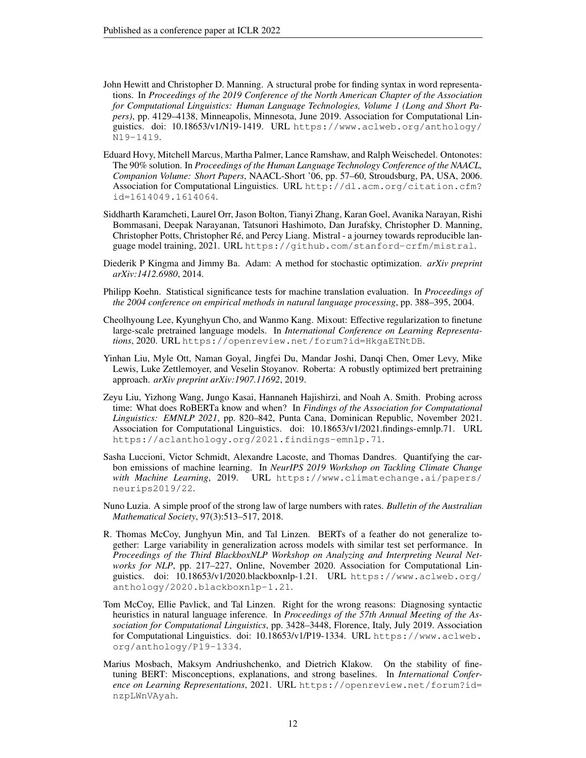- John Hewitt and Christopher D. Manning. A structural probe for finding syntax in word representations. In *Proceedings of the 2019 Conference of the North American Chapter of the Association for Computational Linguistics: Human Language Technologies, Volume 1 (Long and Short Papers)*, pp. 4129–4138, Minneapolis, Minnesota, June 2019. Association for Computational Linguistics. doi: 10.18653/v1/N19-1419. URL https://www.aclweb.org/anthology/ N19-1419.
- Eduard Hovy, Mitchell Marcus, Martha Palmer, Lance Ramshaw, and Ralph Weischedel. Ontonotes: The 90% solution. In *Proceedings of the Human Language Technology Conference of the NAACL, Companion Volume: Short Papers*, NAACL-Short '06, pp. 57–60, Stroudsburg, PA, USA, 2006. Association for Computational Linguistics. URL http://dl.acm.org/citation.cfm? id=1614049.1614064.
- Siddharth Karamcheti, Laurel Orr, Jason Bolton, Tianyi Zhang, Karan Goel, Avanika Narayan, Rishi Bommasani, Deepak Narayanan, Tatsunori Hashimoto, Dan Jurafsky, Christopher D. Manning, Christopher Potts, Christopher Re, and Percy Liang. Mistral - a journey towards reproducible lan- ´ guage model training, 2021. URL https://github.com/stanford-crfm/mistral.
- Diederik P Kingma and Jimmy Ba. Adam: A method for stochastic optimization. *arXiv preprint arXiv:1412.6980*, 2014.
- Philipp Koehn. Statistical significance tests for machine translation evaluation. In *Proceedings of the 2004 conference on empirical methods in natural language processing*, pp. 388–395, 2004.
- Cheolhyoung Lee, Kyunghyun Cho, and Wanmo Kang. Mixout: Effective regularization to finetune large-scale pretrained language models. In *International Conference on Learning Representations*, 2020. URL https://openreview.net/forum?id=HkgaETNtDB.
- Yinhan Liu, Myle Ott, Naman Goyal, Jingfei Du, Mandar Joshi, Danqi Chen, Omer Levy, Mike Lewis, Luke Zettlemoyer, and Veselin Stoyanov. Roberta: A robustly optimized bert pretraining approach. *arXiv preprint arXiv:1907.11692*, 2019.
- Zeyu Liu, Yizhong Wang, Jungo Kasai, Hannaneh Hajishirzi, and Noah A. Smith. Probing across time: What does RoBERTa know and when? In *Findings of the Association for Computational Linguistics: EMNLP 2021*, pp. 820–842, Punta Cana, Dominican Republic, November 2021. Association for Computational Linguistics. doi: 10.18653/v1/2021.findings-emnlp.71. URL https://aclanthology.org/2021.findings-emnlp.71.
- Sasha Luccioni, Victor Schmidt, Alexandre Lacoste, and Thomas Dandres. Quantifying the carbon emissions of machine learning. In *NeurIPS 2019 Workshop on Tackling Climate Change with Machine Learning*, 2019. URL https://www.climatechange.ai/papers/ neurips2019/22.
- Nuno Luzia. A simple proof of the strong law of large numbers with rates. *Bulletin of the Australian Mathematical Society*, 97(3):513–517, 2018.
- R. Thomas McCoy, Junghyun Min, and Tal Linzen. BERTs of a feather do not generalize together: Large variability in generalization across models with similar test set performance. In *Proceedings of the Third BlackboxNLP Workshop on Analyzing and Interpreting Neural Networks for NLP*, pp. 217–227, Online, November 2020. Association for Computational Linguistics. doi: 10.18653/v1/2020.blackboxnlp-1.21. URL https://www.aclweb.org/ anthology/2020.blackboxnlp-1.21.
- Tom McCoy, Ellie Pavlick, and Tal Linzen. Right for the wrong reasons: Diagnosing syntactic heuristics in natural language inference. In *Proceedings of the 57th Annual Meeting of the Association for Computational Linguistics*, pp. 3428–3448, Florence, Italy, July 2019. Association for Computational Linguistics. doi: 10.18653/v1/P19-1334. URL https://www.aclweb. org/anthology/P19-1334.
- Marius Mosbach, Maksym Andriushchenko, and Dietrich Klakow. On the stability of finetuning BERT: Misconceptions, explanations, and strong baselines. In *International Conference on Learning Representations*, 2021. URL https://openreview.net/forum?id= nzpLWnVAyah.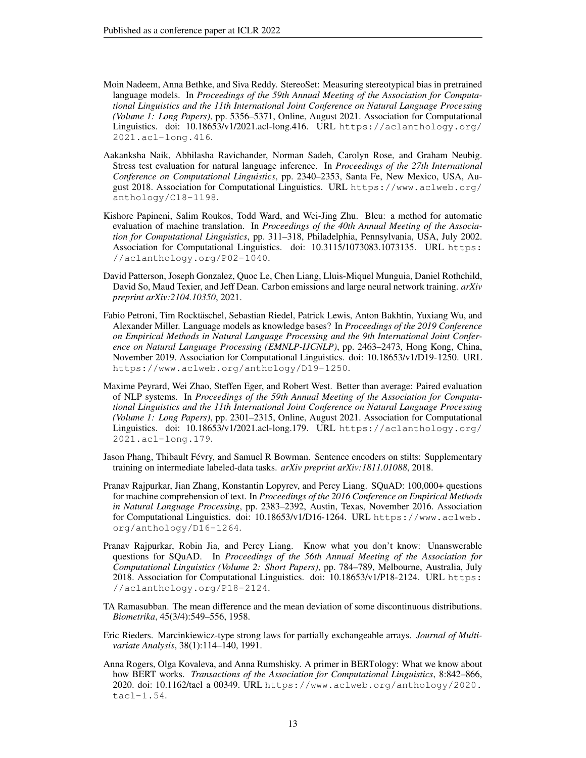- Moin Nadeem, Anna Bethke, and Siva Reddy. StereoSet: Measuring stereotypical bias in pretrained language models. In *Proceedings of the 59th Annual Meeting of the Association for Computational Linguistics and the 11th International Joint Conference on Natural Language Processing (Volume 1: Long Papers)*, pp. 5356–5371, Online, August 2021. Association for Computational Linguistics. doi: 10.18653/v1/2021.acl-long.416. URL https://aclanthology.org/ 2021.acl-long.416.
- Aakanksha Naik, Abhilasha Ravichander, Norman Sadeh, Carolyn Rose, and Graham Neubig. Stress test evaluation for natural language inference. In *Proceedings of the 27th International Conference on Computational Linguistics*, pp. 2340–2353, Santa Fe, New Mexico, USA, August 2018. Association for Computational Linguistics. URL https://www.aclweb.org/ anthology/C18-1198.
- Kishore Papineni, Salim Roukos, Todd Ward, and Wei-Jing Zhu. Bleu: a method for automatic evaluation of machine translation. In *Proceedings of the 40th Annual Meeting of the Association for Computational Linguistics*, pp. 311–318, Philadelphia, Pennsylvania, USA, July 2002. Association for Computational Linguistics. doi: 10.3115/1073083.1073135. URL https: //aclanthology.org/P02-1040.
- David Patterson, Joseph Gonzalez, Quoc Le, Chen Liang, Lluis-Miquel Munguia, Daniel Rothchild, David So, Maud Texier, and Jeff Dean. Carbon emissions and large neural network training. *arXiv preprint arXiv:2104.10350*, 2021.
- Fabio Petroni, Tim Rocktäschel, Sebastian Riedel, Patrick Lewis, Anton Bakhtin, Yuxiang Wu, and Alexander Miller. Language models as knowledge bases? In *Proceedings of the 2019 Conference on Empirical Methods in Natural Language Processing and the 9th International Joint Conference on Natural Language Processing (EMNLP-IJCNLP)*, pp. 2463–2473, Hong Kong, China, November 2019. Association for Computational Linguistics. doi: 10.18653/v1/D19-1250. URL https://www.aclweb.org/anthology/D19-1250.
- Maxime Peyrard, Wei Zhao, Steffen Eger, and Robert West. Better than average: Paired evaluation of NLP systems. In *Proceedings of the 59th Annual Meeting of the Association for Computational Linguistics and the 11th International Joint Conference on Natural Language Processing (Volume 1: Long Papers)*, pp. 2301–2315, Online, August 2021. Association for Computational Linguistics. doi: 10.18653/v1/2021.acl-long.179. URL https://aclanthology.org/ 2021.acl-long.179.
- Jason Phang, Thibault Févry, and Samuel R Bowman. Sentence encoders on stilts: Supplementary training on intermediate labeled-data tasks. *arXiv preprint arXiv:1811.01088*, 2018.
- Pranav Rajpurkar, Jian Zhang, Konstantin Lopyrev, and Percy Liang. SQuAD: 100,000+ questions for machine comprehension of text. In *Proceedings of the 2016 Conference on Empirical Methods in Natural Language Processing*, pp. 2383–2392, Austin, Texas, November 2016. Association for Computational Linguistics. doi: 10.18653/v1/D16-1264. URL https://www.aclweb. org/anthology/D16-1264.
- Pranav Rajpurkar, Robin Jia, and Percy Liang. Know what you don't know: Unanswerable questions for SQuAD. In *Proceedings of the 56th Annual Meeting of the Association for Computational Linguistics (Volume 2: Short Papers)*, pp. 784–789, Melbourne, Australia, July 2018. Association for Computational Linguistics. doi: 10.18653/v1/P18-2124. URL https: //aclanthology.org/P18-2124.
- TA Ramasubban. The mean difference and the mean deviation of some discontinuous distributions. *Biometrika*, 45(3/4):549–556, 1958.
- Eric Rieders. Marcinkiewicz-type strong laws for partially exchangeable arrays. *Journal of Multivariate Analysis*, 38(1):114–140, 1991.
- Anna Rogers, Olga Kovaleva, and Anna Rumshisky. A primer in BERTology: What we know about how BERT works. *Transactions of the Association for Computational Linguistics*, 8:842–866, 2020. doi: 10.1162/tacl a 00349. URL https://www.aclweb.org/anthology/2020. tacl-1.54.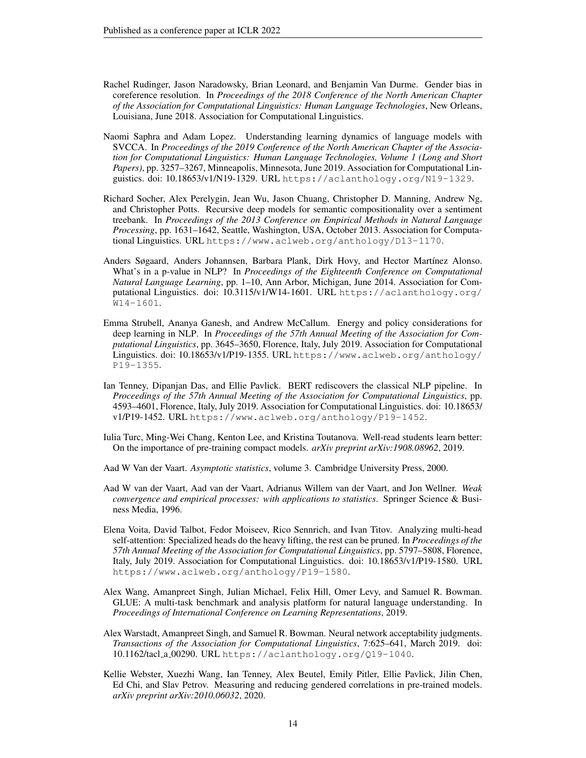- Rachel Rudinger, Jason Naradowsky, Brian Leonard, and Benjamin Van Durme. Gender bias in coreference resolution. In *Proceedings of the 2018 Conference of the North American Chapter of the Association for Computational Linguistics: Human Language Technologies*, New Orleans, Louisiana, June 2018. Association for Computational Linguistics.
- Naomi Saphra and Adam Lopez. Understanding learning dynamics of language models with SVCCA. In *Proceedings of the 2019 Conference of the North American Chapter of the Association for Computational Linguistics: Human Language Technologies, Volume 1 (Long and Short Papers)*, pp. 3257–3267, Minneapolis, Minnesota, June 2019. Association for Computational Linguistics. doi: 10.18653/v1/N19-1329. URL https://aclanthology.org/N19-1329.
- Richard Socher, Alex Perelygin, Jean Wu, Jason Chuang, Christopher D. Manning, Andrew Ng, and Christopher Potts. Recursive deep models for semantic compositionality over a sentiment treebank. In *Proceedings of the 2013 Conference on Empirical Methods in Natural Language Processing*, pp. 1631–1642, Seattle, Washington, USA, October 2013. Association for Computational Linguistics. URL https://www.aclweb.org/anthology/D13-1170.
- Anders Søgaard, Anders Johannsen, Barbara Plank, Dirk Hovy, and Hector Martínez Alonso. What's in a p-value in NLP? In *Proceedings of the Eighteenth Conference on Computational Natural Language Learning*, pp. 1–10, Ann Arbor, Michigan, June 2014. Association for Computational Linguistics. doi: 10.3115/v1/W14-1601. URL https://aclanthology.org/ W14-1601.
- Emma Strubell, Ananya Ganesh, and Andrew McCallum. Energy and policy considerations for deep learning in NLP. In *Proceedings of the 57th Annual Meeting of the Association for Computational Linguistics*, pp. 3645–3650, Florence, Italy, July 2019. Association for Computational Linguistics. doi: 10.18653/v1/P19-1355. URL https://www.aclweb.org/anthology/ P19-1355.
- Ian Tenney, Dipanjan Das, and Ellie Pavlick. BERT rediscovers the classical NLP pipeline. In *Proceedings of the 57th Annual Meeting of the Association for Computational Linguistics*, pp. 4593–4601, Florence, Italy, July 2019. Association for Computational Linguistics. doi: 10.18653/ v1/P19-1452. URL https://www.aclweb.org/anthology/P19-1452.
- Iulia Turc, Ming-Wei Chang, Kenton Lee, and Kristina Toutanova. Well-read students learn better: On the importance of pre-training compact models. *arXiv preprint arXiv:1908.08962*, 2019.
- Aad W Van der Vaart. *Asymptotic statistics*, volume 3. Cambridge University Press, 2000.
- Aad W van der Vaart, Aad van der Vaart, Adrianus Willem van der Vaart, and Jon Wellner. *Weak convergence and empirical processes: with applications to statistics*. Springer Science & Business Media, 1996.
- Elena Voita, David Talbot, Fedor Moiseev, Rico Sennrich, and Ivan Titov. Analyzing multi-head self-attention: Specialized heads do the heavy lifting, the rest can be pruned. In *Proceedings of the 57th Annual Meeting of the Association for Computational Linguistics*, pp. 5797–5808, Florence, Italy, July 2019. Association for Computational Linguistics. doi: 10.18653/v1/P19-1580. URL https://www.aclweb.org/anthology/P19-1580.
- Alex Wang, Amanpreet Singh, Julian Michael, Felix Hill, Omer Levy, and Samuel R. Bowman. GLUE: A multi-task benchmark and analysis platform for natural language understanding. In *Proceedings of International Conference on Learning Representations*, 2019.
- Alex Warstadt, Amanpreet Singh, and Samuel R. Bowman. Neural network acceptability judgments. *Transactions of the Association for Computational Linguistics*, 7:625–641, March 2019. doi: 10.1162/tacl a 00290. URL https://aclanthology.org/Q19-1040.
- Kellie Webster, Xuezhi Wang, Ian Tenney, Alex Beutel, Emily Pitler, Ellie Pavlick, Jilin Chen, Ed Chi, and Slav Petrov. Measuring and reducing gendered correlations in pre-trained models. *arXiv preprint arXiv:2010.06032*, 2020.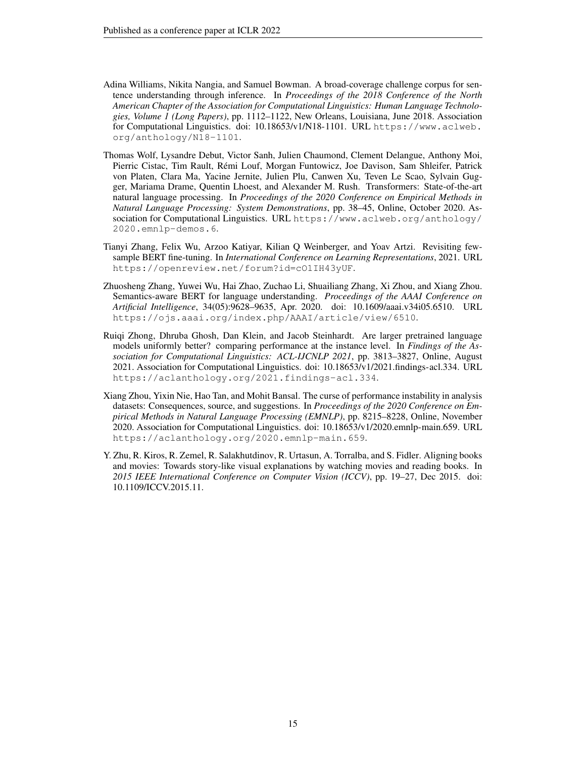- Adina Williams, Nikita Nangia, and Samuel Bowman. A broad-coverage challenge corpus for sentence understanding through inference. In *Proceedings of the 2018 Conference of the North American Chapter of the Association for Computational Linguistics: Human Language Technologies, Volume 1 (Long Papers)*, pp. 1112–1122, New Orleans, Louisiana, June 2018. Association for Computational Linguistics. doi: 10.18653/v1/N18-1101. URL https://www.aclweb. org/anthology/N18-1101.
- Thomas Wolf, Lysandre Debut, Victor Sanh, Julien Chaumond, Clement Delangue, Anthony Moi, Pierric Cistac, Tim Rault, Remi Louf, Morgan Funtowicz, Joe Davison, Sam Shleifer, Patrick ´ von Platen, Clara Ma, Yacine Jernite, Julien Plu, Canwen Xu, Teven Le Scao, Sylvain Gugger, Mariama Drame, Quentin Lhoest, and Alexander M. Rush. Transformers: State-of-the-art natural language processing. In *Proceedings of the 2020 Conference on Empirical Methods in Natural Language Processing: System Demonstrations*, pp. 38–45, Online, October 2020. Association for Computational Linguistics. URL https://www.aclweb.org/anthology/ 2020.emnlp-demos.6.
- Tianyi Zhang, Felix Wu, Arzoo Katiyar, Kilian Q Weinberger, and Yoav Artzi. Revisiting fewsample BERT fine-tuning. In *International Conference on Learning Representations*, 2021. URL https://openreview.net/forum?id=cO1IH43yUF.
- Zhuosheng Zhang, Yuwei Wu, Hai Zhao, Zuchao Li, Shuailiang Zhang, Xi Zhou, and Xiang Zhou. Semantics-aware BERT for language understanding. *Proceedings of the AAAI Conference on Artificial Intelligence*, 34(05):9628–9635, Apr. 2020. doi: 10.1609/aaai.v34i05.6510. URL https://ojs.aaai.org/index.php/AAAI/article/view/6510.
- Ruiqi Zhong, Dhruba Ghosh, Dan Klein, and Jacob Steinhardt. Are larger pretrained language models uniformly better? comparing performance at the instance level. In *Findings of the Association for Computational Linguistics: ACL-IJCNLP 2021*, pp. 3813–3827, Online, August 2021. Association for Computational Linguistics. doi: 10.18653/v1/2021.findings-acl.334. URL https://aclanthology.org/2021.findings-acl.334.
- Xiang Zhou, Yixin Nie, Hao Tan, and Mohit Bansal. The curse of performance instability in analysis datasets: Consequences, source, and suggestions. In *Proceedings of the 2020 Conference on Empirical Methods in Natural Language Processing (EMNLP)*, pp. 8215–8228, Online, November 2020. Association for Computational Linguistics. doi: 10.18653/v1/2020.emnlp-main.659. URL https://aclanthology.org/2020.emnlp-main.659.
- Y. Zhu, R. Kiros, R. Zemel, R. Salakhutdinov, R. Urtasun, A. Torralba, and S. Fidler. Aligning books and movies: Towards story-like visual explanations by watching movies and reading books. In *2015 IEEE International Conference on Computer Vision (ICCV)*, pp. 19–27, Dec 2015. doi: 10.1109/ICCV.2015.11.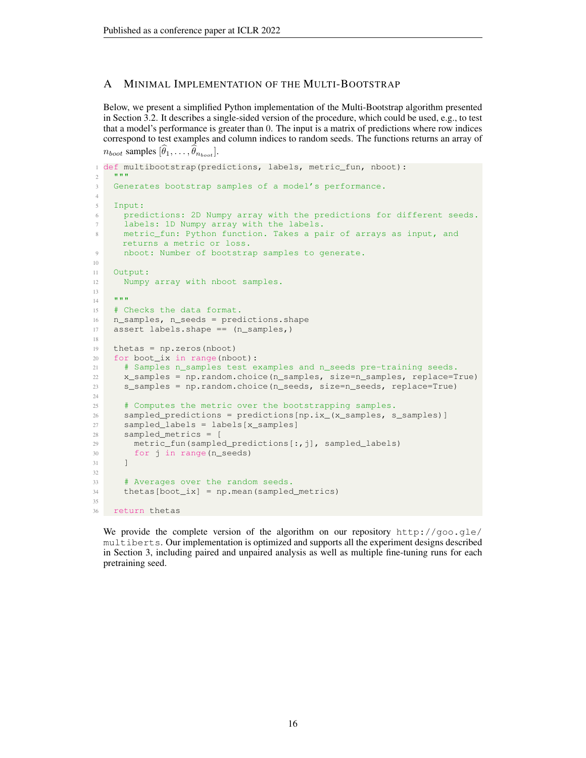# A MINIMAL IMPLEMENTATION OF THE MULTI-BOOTSTRAP

Below, we present a simplified Python implementation of the Multi-Bootstrap algorithm presented in Section 3.2. It describes a single-sided version of the procedure, which could be used, e.g., to test that a model's performance is greater than 0. The input is a matrix of predictions where row indices correspond to test examples and column indices to random seeds. The functions returns an array of  $n_{boot}$  samples  $[\theta_1, \ldots, \theta_{n_{boot}}].$ 

```
1 def multibootstrap(predictions, labels, metric fun, nboot):
2 ^{\circ} ^{\circ} ^{\circ} ^{\circ} ^{\circ} ^{\circ}3 Generates bootstrap samples of a model's performance.
4
5 Input:
6 predictions: 2D Numpy array with the predictions for different seeds.
7 labels: 1D Numpy array with the labels.
8 metric_fun: Python function. Takes a pair of arrays as input, and
    returns a metric or loss.
9 nboot: Number of bootstrap samples to generate.
10
11 Output:
12 Numpy array with nboot samples.
13
1415 # Checks the data format.
16 n_samples, n_seeds = predictions.shape
17 assert labels.shape == (n_samples,)
18
19 thetas = np.zeros(nboot)
20 for boot_ix in range(nboot):
21 # Samples n_samples test examples and n_seeds pre-training seeds.
22 x_samples = np.random.choice(n_samples, size=n_samples, replace=True)
23 s_samples = np.random.choice(n_seeds, size=n_seeds, replace=True)
24
25 # Computes the metric over the bootstrapping samples.
26 sampled_predictions = predictions[np.ix_(x_samples, s_samples)]
27 sampled_labels = labels[x_samples]
28 sampled_metrics = [
29 metric_fun(sampled_predictions[:,j], sampled_labels)
30 for j in range(n_seeds)
31 ]
32
33 # Averages over the random seeds.
34 thetas[boot_ix] = np.mean(sampled_metrics)
35
36 return thetas
```
We provide the complete version of the algorithm on our repository http://goo.gle/ multiberts. Our implementation is optimized and supports all the experiment designs described in Section 3, including paired and unpaired analysis as well as multiple fine-tuning runs for each pretraining seed.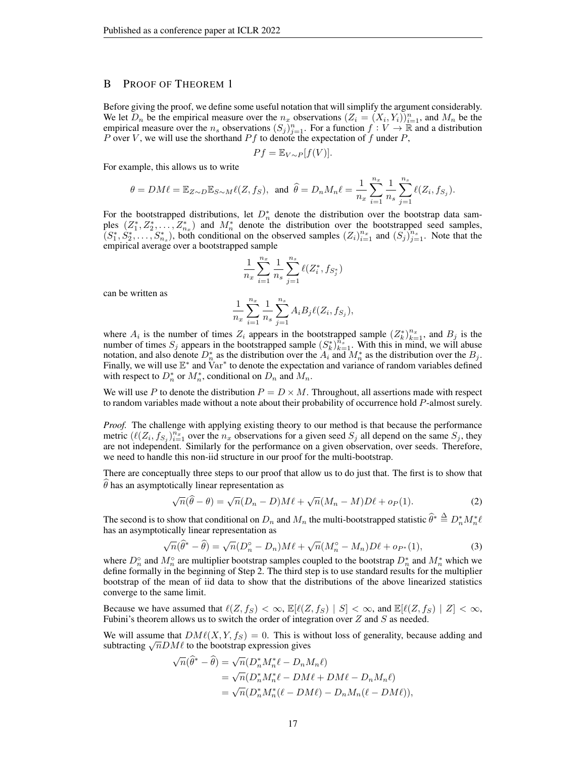#### B PROOF OF THEOREM 1

Before giving the proof, we define some useful notation that will simplify the argument considerably. We let  $D_n$  be the empirical measure over the  $n_x$  observations  $(Z_i = (X_i, Y_i))_{i=1}^n$ , and  $M_n$  be the empirical measure over the  $n_s$  observations  $(S_j)_{j=1}^n$ . For a function  $f: V \to \mathbb{R}$  and a distribution P over V, we will use the shorthand  $Pf$  to denote the expectation of f under P,

$$
Pf = \mathbb{E}_{V \sim P}[f(V)].
$$

For example, this allows us to write

$$
\theta=DM\ell=\mathbb{E}_{Z\sim D}\mathbb{E}_{S\sim M}\ell(Z,f_S),\ \ \text{and}\ \ \widehat{\theta}=D_nM_n\ell=\frac{1}{n_x}\sum_{i=1}^{n_x}\frac{1}{n_s}\sum_{j=1}^{n_s}\ell(Z_i,f_{S_j}).
$$

For the bootstrapped distributions, let  $D_n^*$  denote the distribution over the bootstrap data samples  $(Z_1^*, Z_2^*, \ldots, Z_{n_x}^*)$  and  $M_n^*$  denote the distribution over the bootstrapped seed samples,  $(S_1^*, S_2^*, \ldots, S_{n_s}^*)$ , both conditional on the observed samples  $(Z_i)_{i=1}^{n_x}$  and  $(S_i)_{j=1}^{n_s}$ . Note that the empirical average over a bootstrapped sample

$$
\frac{1}{n_x} \sum_{i=1}^{n_x} \frac{1}{n_s} \sum_{j=1}^{n_s} \ell(Z_i^*, f_{S_j^*})
$$

can be written as

$$
\frac{1}{n_x} \sum_{i=1}^{n_x} \frac{1}{n_s} \sum_{j=1}^{n_s} A_i B_j \ell(Z_i, f_{S_j}),
$$

where  $A_i$  is the number of times  $Z_i$  appears in the bootstrapped sample  $(Z_k^*)_{k=1}^{n_x}$ , and  $B_j$  is the number of times  $S_j$  appears in the bootstrapped sample  $(S_k^*)_{k=1}^{n_s}$ . With this in mind, we will abuse notation, and also denote  $D_n^*$  as the distribution over the  $A_i$  and  $M_n^*$  as the distribution over the  $B_j$ . Finally, we will use  $\mathbb{E}^*$  and  $\mathring{V}\text{ar}^*$  to denote the expectation and variance of random variables defined with respect to  $D_n^*$  or  $M_n^*$ , conditional on  $D_n$  and  $M_n$ .

We will use P to denote the distribution  $P = D \times M$ . Throughout, all assertions made with respect to random variables made without a note about their probability of occurrence hold P-almost surely.

*Proof.* The challenge with applying existing theory to our method is that because the performance metric  $(\ell(Z_i, f_{S_j})_{i=1}^{n_x}$  over the  $n_x$  observations for a given seed  $S_j$  all depend on the same  $S_j$ , they are not independent. Similarly for the performance on a given observation, over seeds. Therefore, we need to handle this non-iid structure in our proof for the multi-bootstrap.

There are conceptually three steps to our proof that allow us to do just that. The first is to show that  $\theta$  has an asymptotically linear representation as

$$
\sqrt{n}(\widehat{\theta} - \theta) = \sqrt{n}(D_n - D)M\ell + \sqrt{n}(M_n - M)D\ell + o_P(1).
$$
 (2)

The second is to show that conditional on  $D_n$  and  $M_n$  the multi-bootstrapped statistic  $\hat{\theta}^* \triangleq D_n^* M_n^* \ell^2$ has an asymptotically linear representation as

$$
\sqrt{n}(\widehat{\theta}^* - \widehat{\theta}) = \sqrt{n}(D_n^{\circ} - D_n)M\ell + \sqrt{n}(M_n^{\circ} - M_n)D\ell + o_{P^*}(1),\tag{3}
$$

where  $D_n^{\circ}$  and  $M_n^{\circ}$  are multiplier bootstrap samples coupled to the bootstrap  $D_n^*$  and  $M_n^*$  which we define formally in the beginning of Step 2. The third step is to use standard results for the multiplier bootstrap of the mean of iid data to show that the distributions of the above linearized statistics converge to the same limit.

Because we have assumed that  $\ell(Z, f_S) < \infty$ ,  $\mathbb{E}[\ell(Z, f_S) | S] < \infty$ , and  $\mathbb{E}[\ell(Z, f_S) | Z] < \infty$ , Fubini's theorem allows us to switch the order of integration over  $Z$  and  $S$  as needed.

We will assume that  $DM\ell(X, Y, f_S) = 0$ . This is without loss of generality, because adding and subtracting  $\sqrt{n}DM\ell$  to the bootstrap expression gives

$$
\sqrt{n}(\widehat{\theta}^* - \widehat{\theta}) = \sqrt{n}(D_n^* M_n^* \ell - D_n M_n \ell)
$$
  
= 
$$
\sqrt{n}(D_n^* M_n^* \ell - DM \ell + DM \ell - D_n M_n \ell)
$$
  
= 
$$
\sqrt{n}(D_n^* M_n^* (\ell - DM \ell) - D_n M_n (\ell - DM \ell)),
$$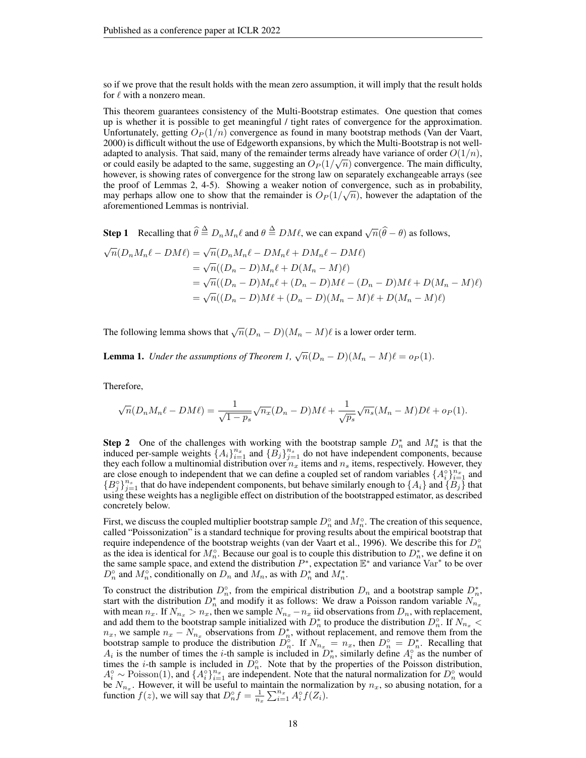so if we prove that the result holds with the mean zero assumption, it will imply that the result holds for  $\ell$  with a nonzero mean.

This theorem guarantees consistency of the Multi-Bootstrap estimates. One question that comes up is whether it is possible to get meaningful / tight rates of convergence for the approximation. Unfortunately, getting  $O_P(1/n)$  convergence as found in many bootstrap methods (Van der Vaart, 2000) is difficult without the use of Edgeworth expansions, by which the Multi-Bootstrap is not welladapted to analysis. That said, many of the remainder terms already have variance of order  $O(1/n)$ , or could easily be adapted to the same, suggesting an  $O_P(1/\sqrt{n})$  convergence. The main difficulty, however, is showing rates of convergence for the strong law on separately exchangeable arrays (see the proof of Lemmas 2, 4-5). Showing a weaker notion of convergence, such as in probability, may perhaps allow one to show that the remainder is  $O_P(1/\sqrt{n})$ , however the adaptation of the aforementioned Lemmas is nontrivial.

**Step 1** Recalling that  $\widehat{\theta} \triangleq D_n M_n \ell$  and  $\theta \triangleq D M \ell$ , we can expand  $\sqrt{n}(\widehat{\theta}-\theta)$  as follows,

$$
\sqrt{n}(D_n M_n \ell - DM\ell) = \sqrt{n}(D_n M_n \ell - DM_n \ell + DM_n \ell - DM\ell)
$$
  
=  $\sqrt{n}((D_n - D)M_n \ell + D(M_n - M)\ell)$   
=  $\sqrt{n}((D_n - D)M_n \ell + (D_n - D)M\ell - (D_n - D)M\ell + D(M_n - M)\ell)$   
=  $\sqrt{n}((D_n - D)M\ell + (D_n - D)(M_n - M)\ell + D(M_n - M)\ell)$ 

The following lemma shows that  $\sqrt{n}(D_n - D)(M_n - M)\ell$  is a lower order term.

**Lemma 1.** *Under the assumptions of Theorem 1,*  $\sqrt{n}(D_n - D)(M_n - M)\ell = o_P(1)$ .

Therefore,

$$
\sqrt{n}(D_nM_n\ell - DM\ell) = \frac{1}{\sqrt{1-p_s}}\sqrt{n_x}(D_n - D)M\ell + \frac{1}{\sqrt{p_s}}\sqrt{n_s}(M_n - M)D\ell + o_P(1).
$$

**Step 2** One of the challenges with working with the bootstrap sample  $D_n^*$  and  $M_n^*$  is that the induced per-sample weights  $\{A_i\}_{i=1}^{n_x}$  and  $\{B_j\}_{j=1}^{n_s}$  do not have independent components, because they each follow a multinomial distribution over  $n_x$  items and  $n_s$  items, respectively. However, they are close enough to independent that we can define a coupled set of random variables  $\{A_i^{\circ}\}_{i=1}^{n_x}$  and  ${B_j^{\circ}}_{j=1}^{n_s}$  that do have independent components, but behave similarly enough to  ${A_i}$  and  ${B_j \choose B_j}$  that using these weights has a negligible effect on distribution of the bootstrapped estimator, as described concretely below.

First, we discuss the coupled multiplier bootstrap sample  $D_n^{\circ}$  and  $M_n^{\circ}$ . The creation of this sequence, called "Poissonization" is a standard technique for proving results about the empirical bootstrap that require independence of the bootstrap weights (van der Vaart et al., 1996). We describe this for  $D_n^{\circ}$ as the idea is identical for  $M_n^{\circ}$ . Because our goal is to couple this distribution to  $D_n^*$ , we define it on the same sample space, and extend the distribution  $P^*$ , expectation  $\mathbb{E}^*$  and variance  $\text{Var}^*$  to be over  $D_n^{\circ}$  and  $M_n^{\circ}$ , conditionally on  $D_n$  and  $M_n$ , as with  $D_n^*$  and  $M_n^*$ .

To construct the distribution  $D_n^{\circ}$ , from the empirical distribution  $D_n$  and a bootstrap sample  $D_n^*$ , start with the distribution  $D_n^*$  and modify it as follows: We draw a Poisson random variable  $N_{n_x}$ with mean  $n_x$ . If  $N_{n_x} > n_x$ , then we sample  $N_{n_x} - n_x$  iid observations from  $D_n$ , with replacement, and add them to the bootstrap sample initialized with  $D_n^*$  to produce the distribution  $D_n^{\circ}$ . If  $N_{n_x}$  <  $n_x$ , we sample  $n_x - N_{n_x}$  observations from  $D_n^*$ , without replacement, and remove them from the bootstrap sample to produce the distribution  $D_n^{\circ}$ . If  $N_{n_x} = n_x$ , then  $D_n^{\circ} = D_n^*$ . Recalling that  $A_i$  is the number of times the *i*-th sample is included in  $D_n^*$ , similarly define  $A_i^{\circ}$  as the number of times the *i*-th sample is included in  $D_n^{\circ}$ . Note that by the properties of the Poisson distribution,  $A_i^{\circ} \sim \text{Poisson}(1)$ , and  $\{A_i^{\circ}\}_{i=1}^{n_x}$  are independent. Note that the natural normalization for  $D_n^{\circ}$  would be  $N_{n_x}$ . However, it will be useful to maintain the normalization by  $n_x$ , so abusing notation, for a function  $f(z)$ , we will say that  $D_n^{\circ} f = \frac{1}{n_x} \sum_{i=1}^{n_x} A_i^{\circ} f(Z_i)$ .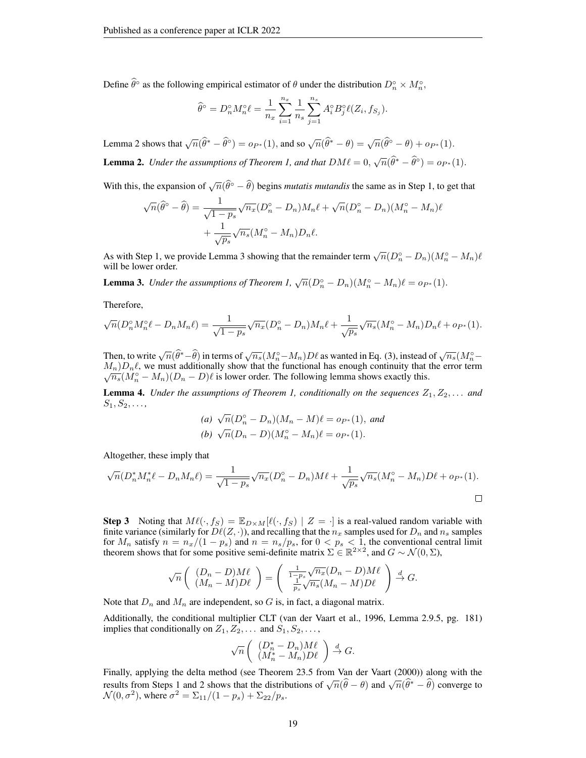Define  $\theta^{\circ}$  as the following empirical estimator of  $\theta$  under the distribution  $D_n^{\circ} \times M_n^{\circ}$ ,

$$
\widehat{\theta}^{\circ} = D_n^{\circ} M_n^{\circ} \ell = \frac{1}{n_x} \sum_{i=1}^{n_x} \frac{1}{n_s} \sum_{j=1}^{n_s} A_i^{\circ} B_j^{\circ} \ell(Z_i, f_{S_j}).
$$

Lemma 2 shows that  $\sqrt{n}(\widehat{\theta}^* - \widehat{\theta}^{\circ}) = o_{P^*}(1)$ , and so  $\sqrt{n}(\widehat{\theta}^* - \theta) = \sqrt{n}(\widehat{\theta}^{\circ} - \theta) + o_{P^*}(1)$ . **Lemma 2.** *Under the assumptions of Theorem 1, and that*  $DM\ell = 0$ ,  $\sqrt{n}(\widehat{\theta}^* - \widehat{\theta}^{\circ}) = o_{P^*}(1)$ .

With this, the expansion of  $\sqrt{n}(\hat{\theta}^{\circ} - \hat{\theta})$  begins *mutatis mutandis* the same as in Step 1, to get that

$$
\sqrt{n}(\widehat{\theta}^{\circ} - \widehat{\theta}) = \frac{1}{\sqrt{1 - p_s}} \sqrt{n_x} (D_n^{\circ} - D_n) M_n \ell + \sqrt{n} (D_n^{\circ} - D_n) (M_n^{\circ} - M_n) \ell
$$

$$
+ \frac{1}{\sqrt{p_s}} \sqrt{n_s} (M_n^{\circ} - M_n) D_n \ell.
$$

As with Step 1, we provide Lemma 3 showing that the remainder term  $\sqrt{n}(D_n^{\circ} - D_n)(M_n^{\circ} - M_n)\ell$ will be lower order.

**Lemma 3.** *Under the assumptions of Theorem 1,*  $\sqrt{n}(D_n^{\circ} - D_n)(M_n^{\circ} - M_n)\ell = o_{P^*}(1)$ .

Therefore,

$$
\sqrt{n}(D_n^{\circ}M_n^{\circ}\ell - D_nM_n\ell) = \frac{1}{\sqrt{1-p_s}}\sqrt{n_x}(D_n^{\circ} - D_n)M_n\ell + \frac{1}{\sqrt{p_s}}\sqrt{n_s}(M_n^{\circ} - M_n)D_n\ell + o_{P^*}(1).
$$

Then, to write  $\sqrt{n}(\hat{\theta}^* - \hat{\theta})$  in terms of  $\sqrt{n_s}(M_n^{\circ} - M_n)D\ell$  as wanted in Eq. (3), instead of  $\sqrt{n_s}(M_n^{\circ} - M_n)$  $M_n$ ) $D_n\ell$ , we must additionally show that the functional has enough continuity that the error term  $\sqrt{n_s}(M_n^{\circ} - M_n)(D_n - D)\ell$  is lower order. The following lemma shows exactly this.

**Lemma 4.** *Under the assumptions of Theorem 1, conditionally on the sequences*  $Z_1, Z_2, \ldots$  *and*  $S_1, S_2, \ldots,$ 

(a) 
$$
\sqrt{n}(D_n^{\circ} - D_n)(M_n - M)\ell = o_{P^*}(1)
$$
, and  
(b)  $\sqrt{n}(D_n - D)(M_n^{\circ} - M_n)\ell = o_{P^*}(1)$ .

Altogether, these imply that

$$
\sqrt{n}(D_n^*M_n^*\ell - D_nM_n\ell) = \frac{1}{\sqrt{1-p_s}}\sqrt{n_x}(D_n^{\circ} - D_n)M\ell + \frac{1}{\sqrt{p_s}}\sqrt{n_s}(M_n^{\circ} - M_n)D\ell + o_{P^*}(1).
$$

**Step 3** Noting that  $M\ell(\cdot, f_S) = \mathbb{E}_{D\times M}[\ell(\cdot, f_S) | Z = \cdot]$  is a real-valued random variable with finite variance (similarly for  $D\ell(Z, \cdot)$ ), and recalling that the  $n_x$  samples used for  $D_n$  and  $n_s$  samples for  $M_n$  satisfy  $n = n_x/(1 - p_s)$  and  $n = n_s/p_s$ , for  $0 < p_s < 1$ , the conventional central limit theorem shows that for some positive semi-definite matrix  $\Sigma \in \mathbb{R}^{2 \times 2}$ , and  $G \sim \mathcal{N}(0, \Sigma)$ ,

$$
\sqrt{n}\left(\begin{array}{c} (D_n-D)M\ell \\ (M_n-M)D\ell \end{array}\right)=\left(\begin{array}{c} \frac{1}{1-p_s}\sqrt{n_x}(D_n-D)M\ell \\ \frac{1}{p_s}\sqrt{n_s}(M_n-M)D\ell \end{array}\right)\stackrel{d}{\to} G.
$$

Note that  $D_n$  and  $M_n$  are independent, so G is, in fact, a diagonal matrix.

Additionally, the conditional multiplier CLT (van der Vaart et al., 1996, Lemma 2.9.5, pg. 181) implies that conditionally on  $Z_1, Z_2, \ldots$  and  $S_1, S_2, \ldots$ ,

$$
\sqrt{n}\left(\begin{array}{c}(D_n^*-D_n)M\ell\\ (M_n^*-M_n)D\ell\end{array}\right)\stackrel{d}{\to}G.
$$

Finally, applying the delta method (see Theorem 23.5 from Van der Vaart (2000)) along with the results from Steps 1 and 2 shows that the distributions of  $\sqrt{n}(\hat{\theta} - \theta)$  and  $\sqrt{n}(\hat{\theta}^* - \hat{\theta})$  converge to  $\mathcal{N}(0, \sigma^2)$ , where  $\sigma^2 = \Sigma_{11}/(1-p_s) + \Sigma_{22}/p_s$ .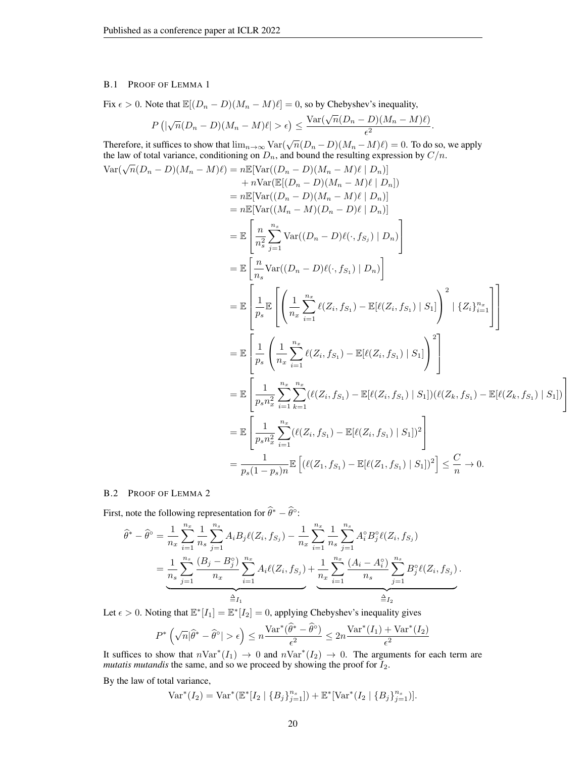## B.1 PROOF OF LEMMA 1

Fix  $\epsilon > 0$ . Note that  $\mathbb{E}[(D_n - D)(M_n - M)\ell] = 0$ , so by Chebyshev's inequality,

$$
P\left(|\sqrt{n}(D_n-D)(M_n-M)\ell| > \epsilon\right) \le \frac{\text{Var}(\sqrt{n}(D_n-D)(M_n-M)\ell)}{\epsilon^2}.
$$

Therefore, it suffices to show that  $\lim_{n\to\infty} \text{Var}(\sqrt{n}(D_n - D)(M_n - M)\ell) = 0$ . To do so, we apply the law of total variance, conditioning on  $D_n$ , and bound the resulting expression by  $C/n$ .

$$
\begin{split} \text{Var}(\sqrt{n}(D_n - D)(M_n - M)\ell) &= n \mathbb{E}[\text{Var}((D_n - D)(M_n - M)\ell \mid D_n)] \\ &= n \mathbb{E}[\text{Var}((D_n - D)(M_n - M)\ell \mid D_n]) \\ &= n \mathbb{E}[\text{Var}((M_n - M)(D_n - D)\ell \mid D_n)] \\ &= n \mathbb{E}[\text{Var}((M_n - M)(D_n - D)\ell \mid D_n)] \\ &= \mathbb{E}\left[\frac{n}{n_s^s} \sum_{j=1}^{n_s} \text{Var}((D_n - D)\ell(\cdot, f_{S_j}) \mid D_n)\right] \\ &= \mathbb{E}\left[\frac{n}{n_s} \text{Var}((D_n - D)\ell(\cdot, f_{S_j}) \mid D_n)\right] \\ &= \mathbb{E}\left[\frac{1}{p_s} \mathbb{E}\left[\left(\frac{1}{n_x} \sum_{i=1}^{n_x} \ell(Z_i, f_{S_1}) - \mathbb{E}[\ell(Z_i, f_{S_1}) \mid S_1]\right)^2 \mid \{Z_i\}_{i=1}^{n_x}\right]\right] \\ &= \mathbb{E}\left[\frac{1}{p_s} \left(\frac{1}{n_x} \sum_{i=1}^{n_x} \ell(Z_i, f_{S_1}) - \mathbb{E}[\ell(Z_i, f_{S_1}) \mid S_1]\right)^2\right] \\ &= \mathbb{E}\left[\frac{1}{p_s n_x^2} \sum_{i=1}^{n_x} \ell(\ell(Z_i, f_{S_1}) - \mathbb{E}[\ell(Z_i, f_{S_1}) \mid S_1])(\ell(Z_k, f_{S_1}) - \mathbb{E}[\ell(Z_k, f_{S_1}) \mid S_1])\right] \\ &= \mathbb{E}\left[\frac{1}{p_s n_x^2} \sum_{i=1}^{n_x} (\ell(Z_i, f_{S_1}) - \mathbb{E}[\ell(Z_i, f_{S_1}) \mid S_1])^2\right] \\ &= \frac{1}{p_s(1 - p_s)n} \mathbb{E}\left[(\ell(Z_1, f_{S_1}) - \mathbb{E}[\ell(Z_1, f_{S_1}) \mid S_1])^2\right] \leq \frac{C}{n} \to 0. \end{split}
$$

B.2 PROOF OF LEMMA 2

First, note the following representation for  $\theta^* - \theta^\circ$ :

$$
\widehat{\theta}^* - \widehat{\theta}^{\circ} = \frac{1}{n_x} \sum_{i=1}^{n_x} \frac{1}{n_s} \sum_{j=1}^{n_s} A_i B_j \ell(Z_i, f_{S_j}) - \frac{1}{n_x} \sum_{i=1}^{n_x} \frac{1}{n_s} \sum_{j=1}^{n_s} A_i^{\circ} B_j^{\circ} \ell(Z_i, f_{S_j})
$$
\n
$$
= \underbrace{\frac{1}{n_s} \sum_{j=1}^{n_s} \frac{(B_j - B_j^{\circ})}{n_x} \sum_{i=1}^{n_x} A_i \ell(Z_i, f_{S_j})}_{\triangleq I_1} + \underbrace{\frac{1}{n_x} \sum_{i=1}^{n_x} \frac{(A_i - A_i^{\circ})}{n_s} \sum_{j=1}^{n_s} B_j^{\circ} \ell(Z_i, f_{S_j})}_{\triangleq I_2}.
$$

Let  $\epsilon > 0$ . Noting that  $\mathbb{E}^*[I_1] = \mathbb{E}^*[I_2] = 0$ , applying Chebyshev's inequality gives

$$
P^*\left(\sqrt{n}|\widehat{\theta}^* - \widehat{\theta}^{\circ}| > \epsilon\right) \le n \frac{\text{Var}^*(\widehat{\theta}^* - \widehat{\theta}^{\circ})}{\epsilon^2} \le 2n \frac{\text{Var}^*(I_1) + \text{Var}^*(I_2)}{\epsilon^2}
$$

It suffices to show that  $n\text{Var}^*(I_1) \to 0$  and  $n\text{Var}^*(I_2) \to 0$ . The arguments for each term are *mutatis mutandis* the same, and so we proceed by showing the proof for  $I_2$ .

By the law of total variance,

 $\text{Var}^*(I_2) = \text{Var}^*(\mathbb{E}^*[I_2 \mid \{B_j\}_{j=1}^{n_s}]) + \mathbb{E}^*[\text{Var}^*(I_2 \mid \{B_j\}_{j=1}^{n_s})].$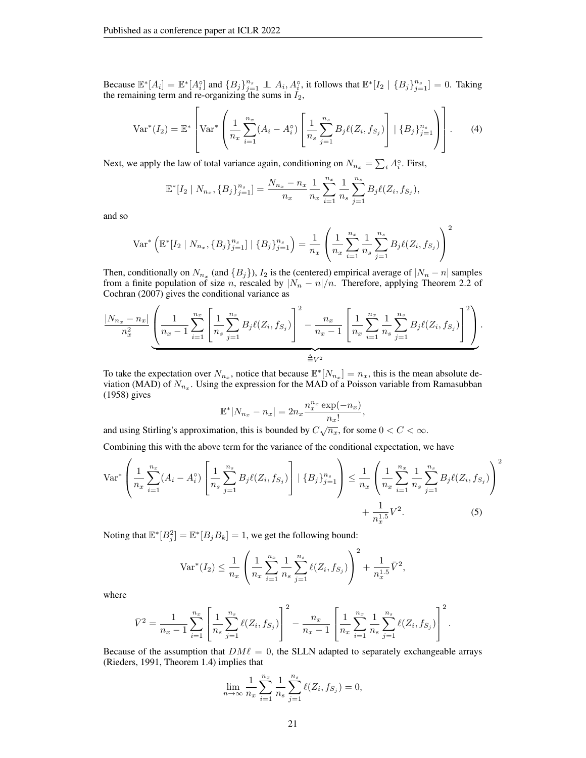Because  $\mathbb{E}^*[A_i] = \mathbb{E}^*[A_i^{\circ}]$  and  $\{B_j\}_{j=1}^{n_s} \perp A_i$ ,  $A_i^{\circ}$ , it follows that  $\mathbb{E}^*[I_2 \mid \{B_j\}_{j=1}^{n_s}] = 0$ . Taking the remaining term and re-organizing the sums in  $I_2$ ,

$$
\text{Var}^*(I_2) = \mathbb{E}^* \left[ \text{Var}^* \left( \frac{1}{n_x} \sum_{i=1}^{n_x} (A_i - A_i^{\circ}) \left[ \frac{1}{n_s} \sum_{j=1}^{n_s} B_j \ell(Z_i, f_{S_j}) \right] | \{B_j\}_{j=1}^{n_s} \right) \right].
$$
 (4)

Next, we apply the law of total variance again, conditioning on  $N_{n_x} = \sum_i A_i^{\circ}$ . First,

$$
\mathbb{E}^*[I_2 \mid N_{n_x}, \{B_j\}_{j=1}^{n_s}] = \frac{N_{n_x} - n_x}{n_x} \frac{1}{n_x} \sum_{i=1}^{n_x} \frac{1}{n_s} \sum_{j=1}^{n_s} B_j \ell(Z_i, f_{S_j}),
$$

and so

$$
\operatorname{Var}^*\left(\mathbb{E}^*[I_2 \mid N_{n_x}, \{B_j\}_{j=1}^{n_s}] \mid \{B_j\}_{j=1}^{n_s}\right) = \frac{1}{n_x} \left(\frac{1}{n_x} \sum_{i=1}^{n_x} \frac{1}{n_s} \sum_{j=1}^{n_s} B_j \ell(Z_i, f_{S_j})\right)^2
$$

Then, conditionally on  $N_{n_x}$  (and  $\{B_j\}$ ),  $I_2$  is the (centered) empirical average of  $|N_n - n|$  samples from a finite population of size n, rescaled by  $|N_n - n|/n$ . Therefore, applying Theorem 2.2 of Cochran (2007) gives the conditional variance as

$$
\frac{|N_{n_x} - n_x|}{n_x^2} \underbrace{\left(\frac{1}{n_x - 1} \sum_{i=1}^{n_x} \left[ \frac{1}{n_s} \sum_{j=1}^{n_s} B_j \ell(Z_i, f_{S_j}) \right]^2 - \frac{n_x}{n_x - 1} \left[ \frac{1}{n_x} \sum_{i=1}^{n_x} \frac{1}{n_s} \sum_{j=1}^{n_s} B_j \ell(Z_i, f_{S_j}) \right]^2 \right)}_{\triangleq V^2}.
$$

To take the expectation over  $N_{n_x}$ , notice that because  $\mathbb{E}^*[N_{n_x}] = n_x$ , this is the mean absolute deviation (MAD) of  $N_{n_x}$ . Using the expression for the MAD of a Poisson variable from Ramasubban (1958) gives

$$
\mathbb{E}^*|N_{n_x} - n_x| = 2n_x \frac{n_x^{n_x} \exp(-n_x)}{n_x!}
$$

,

and using Stirling's approximation, this is bounded by  $C\sqrt{n_x}$ , for some  $0 < C < \infty$ .

Combining this with the above term for the variance of the conditional expectation, we have

$$
\operatorname{Var}^* \left( \frac{1}{n_x} \sum_{i=1}^{n_x} (A_i - A_i^{\circ}) \left[ \frac{1}{n_s} \sum_{j=1}^{n_s} B_j \ell(Z_i, f_{S_j}) \right] \mid \{B_j\}_{j=1}^{n_s} \right) \le \frac{1}{n_x} \left( \frac{1}{n_x} \sum_{i=1}^{n_x} \frac{1}{n_s} \sum_{j=1}^{n_s} B_j \ell(Z_i, f_{S_j}) \right)^2 + \frac{1}{n_x!} V^2.
$$
 (5)

Noting that  $\mathbb{E}^*[B_j^2] = \mathbb{E}^*[B_j B_k] = 1$ , we get the following bound:

$$
\operatorname{Var}^*(I_2) \le \frac{1}{n_x} \left( \frac{1}{n_x} \sum_{i=1}^{n_x} \frac{1}{n_s} \sum_{j=1}^{n_s} \ell(Z_i, f_{S_j}) \right)^2 + \frac{1}{n_x^{1.5}} \bar{V}^2,
$$

where

$$
\bar{V}^2 = \frac{1}{n_x - 1} \sum_{i=1}^{n_x} \left[ \frac{1}{n_s} \sum_{j=1}^{n_s} \ell(Z_i, f_{S_j}) \right]^2 - \frac{n_x}{n_x - 1} \left[ \frac{1}{n_x} \sum_{i=1}^{n_x} \frac{1}{n_s} \sum_{j=1}^{n_s} \ell(Z_i, f_{S_j}) \right]^2.
$$

Because of the assumption that  $DM\ell = 0$ , the SLLN adapted to separately exchangeable arrays (Rieders, 1991, Theorem 1.4) implies that

$$
\lim_{n \to \infty} \frac{1}{n_x} \sum_{i=1}^{n_x} \frac{1}{n_s} \sum_{j=1}^{n_s} \ell(Z_i, f_{S_j}) = 0,
$$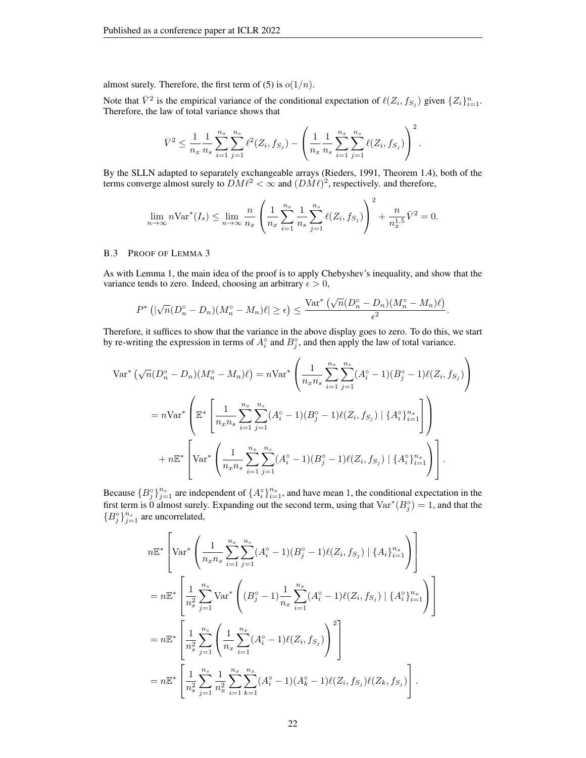almost surely. Therefore, the first term of (5) is  $o(1/n)$ .

Note that  $\bar{V}^2$  is the empirical variance of the conditional expectation of  $\ell(Z_i, f_{S_j})$  given  $\{Z_i\}_{i=1}^n$ . Therefore, the law of total variance shows that

$$
\bar{V}^2 \leq \frac{1}{n_x} \frac{1}{n_s} \sum_{i=1}^{n_x} \sum_{j=1}^{n_s} \ell^2(Z_i, f_{S_j}) - \left(\frac{1}{n_x} \frac{1}{n_s} \sum_{i=1}^{n_x} \sum_{j=1}^{n_s} \ell(Z_i, f_{S_j})\right)^2.
$$

By the SLLN adapted to separately exchangeable arrays (Rieders, 1991, Theorem 1.4), both of the terms converge almost surely to  $DM\ell^2 < \infty$  and  $(DM\ell)^2$ , respectively. and therefore,

$$
\lim_{n \to \infty} n \text{Var}^*(I_s) \le \lim_{n \to \infty} \frac{n}{n_x} \left( \frac{1}{n_x} \sum_{i=1}^{n_x} \frac{1}{n_s} \sum_{j=1}^{n_s} \ell(Z_i, f_{S_j}) \right)^2 + \frac{n}{n_x^{1.5}} \bar{V}^2 = 0.
$$

## B.3 PROOF OF LEMMA 3

As with Lemma 1, the main idea of the proof is to apply Chebyshev's inequality, and show that the variance tends to zero. Indeed, choosing an arbitrary  $\epsilon > 0$ ,

$$
P^* \left( |\sqrt{n} (D_n^{\circ} - D_n)(M_n^{\circ} - M_n)\ell| \ge \epsilon \right) \le \frac{\text{Var}^* \left( \sqrt{n} (D_n^{\circ} - D_n)(M_n^{\circ} - M_n)\ell \right)}{\epsilon^2}.
$$

Therefore, it suffices to show that the variance in the above display goes to zero. To do this, we start by re-writing the expression in terms of  $A_i^{\circ}$  and  $B_j^{\circ}$ , and then apply the law of total variance.

$$
\operatorname{Var}^* \left( \sqrt{n} (D_n^{\circ} - D_n)(M_n^{\circ} - M_n) \ell \right) = n \operatorname{Var}^* \left( \frac{1}{n_x n_s} \sum_{i=1}^{n_x} \sum_{j=1}^{n_s} (A_i^{\circ} - 1)(B_j^{\circ} - 1) \ell(Z_i, f_{S_j}) \right)
$$
  

$$
= n \operatorname{Var}^* \left( \mathbb{E}^* \left[ \frac{1}{n_x n_s} \sum_{i=1}^{n_x} \sum_{j=1}^{n_s} (A_i^{\circ} - 1)(B_j^{\circ} - 1) \ell(Z_i, f_{S_j}) \mid \{A_i^{\circ}\}_{i=1}^{n_x} \right] \right)
$$
  

$$
+ n \mathbb{E}^* \left[ \operatorname{Var}^* \left( \frac{1}{n_x n_s} \sum_{i=1}^{n_x} \sum_{j=1}^{n_s} (A_i^{\circ} - 1)(B_j^{\circ} - 1) \ell(Z_i, f_{S_j}) \mid \{A_i^{\circ}\}_{i=1}^{n_x} \right) \right].
$$

Because  ${B_j^{\circ}}_{j=1}^{n_s}$  are independent of  ${A_i^{\circ}}_{i=1}^{n_x}$ , and have mean 1, the conditional expectation in the first term is 0 almost surely. Expanding out the second term, using that  $Var^*(B_j^{\circ}) = 1$ , and that the  ${B_j^{\circ}}_{j=1}^{n_s}$  are uncorrelated,

$$
n\mathbb{E}^* \left[ \text{Var}^* \left( \frac{1}{n_x n_s} \sum_{i=1}^{n_x} \sum_{j=1}^{n_s} (A_i^{\circ} - 1)(B_j^{\circ} - 1)\ell(Z_i, f_{S_j}) \mid \{A_i\}_{i=1}^{n_x} \right) \right]
$$
  
\n
$$
= n\mathbb{E}^* \left[ \frac{1}{n_s^2} \sum_{j=1}^{n_s} \text{Var}^* \left( (B_j^{\circ} - 1) \frac{1}{n_x} \sum_{i=1}^{n_x} (A_i^{\circ} - 1)\ell(Z_i, f_{S_j}) \mid \{A_i^{\circ}\}_{i=1}^{n_x} \right) \right]
$$
  
\n
$$
= n\mathbb{E}^* \left[ \frac{1}{n_s^2} \sum_{j=1}^{n_s} \left( \frac{1}{n_x} \sum_{i=1}^{n_x} (A_i^{\circ} - 1)\ell(Z_i, f_{S_j}) \right)^2 \right]
$$
  
\n
$$
= n\mathbb{E}^* \left[ \frac{1}{n_s^2} \sum_{j=1}^{n_s} \frac{1}{n_x^2} \sum_{i=1}^{n_x} \sum_{k=1}^{n_x} (A_i^{\circ} - 1)(A_k^{\circ} - 1)\ell(Z_i, f_{S_j})\ell(Z_k, f_{S_j}) \right].
$$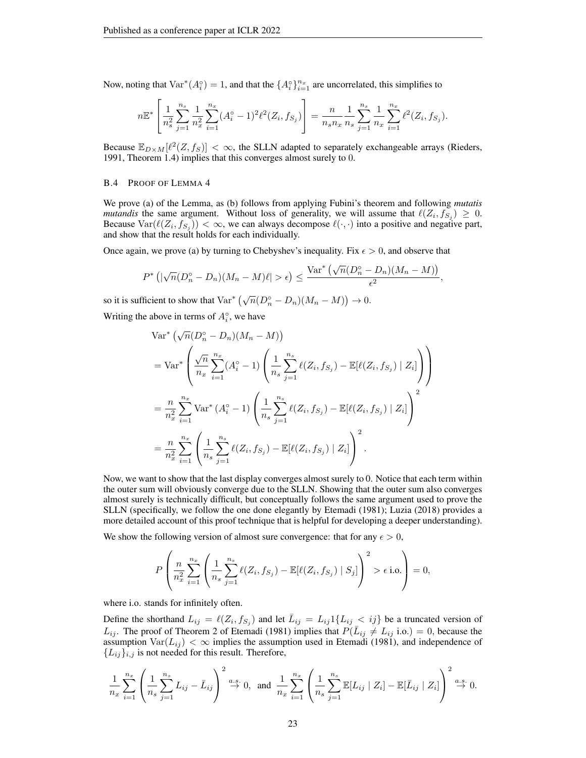Now, noting that  $\text{Var}^*(A_i^{\circ}) = 1$ , and that the  $\{A_i^{\circ}\}_{i=1}^{n_x}$  are uncorrelated, this simplifies to

$$
n\mathbb{E}^*\left[\frac{1}{n_s^2}\sum_{j=1}^{n_s}\frac{1}{n_x^2}\sum_{i=1}^{n_x}(A_i^{\circ}-1)^2\ell^2(Z_i,f_{S_j})\right]=\frac{n}{n_s n_x}\frac{1}{n_s}\sum_{j=1}^{n_s}\frac{1}{n_x}\sum_{i=1}^{n_x}\ell^2(Z_i,f_{S_j}).
$$

Because  $\mathbb{E}_{D\times M}[\ell^2(Z, f_S)] < \infty$ , the SLLN adapted to separately exchangeable arrays (Rieders, 1991, Theorem 1.4) implies that this converges almost surely to 0.

#### B.4 PROOF OF LEMMA 4

We prove (a) of the Lemma, as (b) follows from applying Fubini's theorem and following *mutatis mutandis* the same argument. Without loss of generality, we will assume that  $\ell(Z_i, f_{S_j}) \geq 0$ . Because  $\text{Var}(\ell(Z_i, f_{S_j})) < \infty$ , we can always decompose  $\ell(\cdot, \cdot)$  into a positive and negative part, and show that the result holds for each individually.

Once again, we prove (a) by turning to Chebyshev's inequality. Fix  $\epsilon > 0$ , and observe that

$$
P^* \left( |\sqrt{n} (D_n^{\circ} - D_n)(M_n - M) \ell | > \epsilon \right) \le \frac{\text{Var}^* \left( \sqrt{n} (D_n^{\circ} - D_n)(M_n - M) \right)}{\epsilon^2},
$$

so it is sufficient to show that  $\text{Var}^* \left( \sqrt{n} (D_n^{\circ} - D_n)(M_n - M) \right) \to 0$ .

Writing the above in terms of  $A_i^{\circ}$ , we have

$$
\begin{split} &\text{Var}^* \left( \sqrt{n} (D_n^\circ - D_n)(M_n - M) \right) \\ &= \text{Var}^* \left( \frac{\sqrt{n}}{n_x} \sum_{i=1}^{n_x} (A_i^\circ - 1) \left( \frac{1}{n_s} \sum_{j=1}^{n_s} \ell(Z_i, f_{S_j}) - \mathbb{E}[\ell(Z_i, f_{S_j}) \mid Z_i] \right) \right) \\ &= \frac{n}{n_x^2} \sum_{i=1}^{n_x} \text{Var}^* (A_i^\circ - 1) \left( \frac{1}{n_s} \sum_{j=1}^{n_s} \ell(Z_i, f_{S_j}) - \mathbb{E}[\ell(Z_i, f_{S_j}) \mid Z_i] \right)^2 \\ &= \frac{n}{n_x^2} \sum_{i=1}^{n_x} \left( \frac{1}{n_s} \sum_{j=1}^{n_s} \ell(Z_i, f_{S_j}) - \mathbb{E}[\ell(Z_i, f_{S_j}) \mid Z_i] \right)^2. \end{split}
$$

Now, we want to show that the last display converges almost surely to 0. Notice that each term within the outer sum will obviously converge due to the SLLN. Showing that the outer sum also converges almost surely is technically difficult, but conceptually follows the same argument used to prove the SLLN (specifically, we follow the one done elegantly by Etemadi (1981); Luzia (2018) provides a more detailed account of this proof technique that is helpful for developing a deeper understanding).

We show the following version of almost sure convergence: that for any  $\epsilon > 0$ ,

$$
P\left(\frac{n}{n_x^2}\sum_{i=1}^{n_x} \left(\frac{1}{n_s}\sum_{j=1}^{n_s} \ell(Z_i, f_{S_j}) - \mathbb{E}[\ell(Z_i, f_{S_j}) | S_j]\right)^2 > \epsilon \text{ i.o.}\right) = 0,
$$

where i.o. stands for infinitely often.

Define the shorthand  $L_{ij} = \ell(Z_i, f_{S_j})$  and let  $\bar{L}_{ij} = L_{ij} 1\{L_{ij} \le ij\}$  be a truncated version of  $L_{ij}$ . The proof of Theorem 2 of Etemadi (1981) implies that  $P(\bar{L}_{ij} \neq L_{ij} \text{ i.o.}) = 0$ , because the assumption  $\text{Var}(L_{ij}) < \infty$  implies the assumption used in Etemadi (1981), and independence of  ${L_{ij}}_{i,j}$  is not needed for this result. Therefore,

$$
\frac{1}{n_x} \sum_{i=1}^{n_x} \left( \frac{1}{n_s} \sum_{j=1}^{n_s} L_{ij} - \bar{L}_{ij} \right)^2 \xrightarrow{a.s.} 0, \text{ and } \frac{1}{n_x} \sum_{i=1}^{n_x} \left( \frac{1}{n_s} \sum_{j=1}^{n_s} \mathbb{E}[L_{ij} | Z_i] - \mathbb{E}[\bar{L}_{ij} | Z_i] \right)^2 \xrightarrow{a.s.} 0.
$$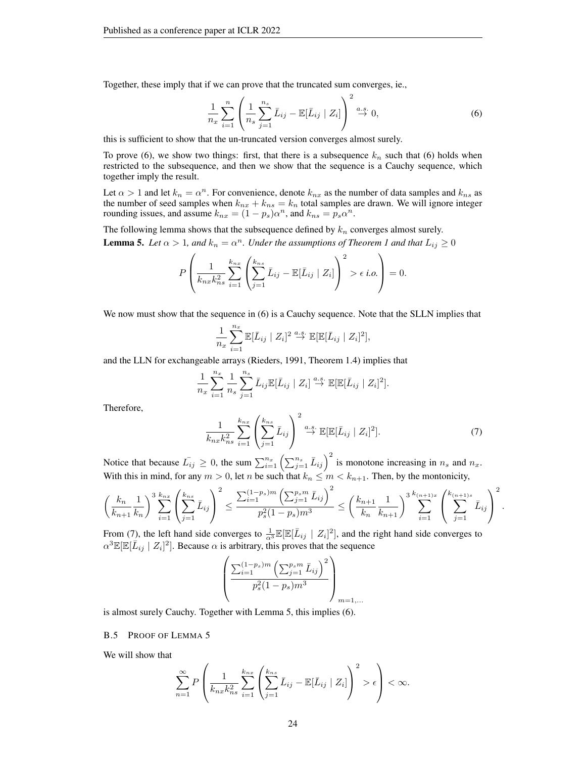Together, these imply that if we can prove that the truncated sum converges, ie.,

$$
\frac{1}{n_x} \sum_{i=1}^n \left( \frac{1}{n_s} \sum_{j=1}^{n_s} \bar{L}_{ij} - \mathbb{E}[\bar{L}_{ij} \mid Z_i] \right)^2 \stackrel{a.s.}{\to} 0,
$$
\n(6)

this is sufficient to show that the un-truncated version converges almost surely.

To prove (6), we show two things: first, that there is a subsequence  $k_n$  such that (6) holds when restricted to the subsequence, and then we show that the sequence is a Cauchy sequence, which together imply the result.

Let  $\alpha > 1$  and let  $k_n = \alpha^n$ . For convenience, denote  $k_{nx}$  as the number of data samples and  $k_{ns}$  as the number of seed samples when  $k_{nx} + k_{ns} = k_n$  total samples are drawn. We will ignore integer rounding issues, and assume  $k_{nx} = (1 - p_s)\alpha^n$ , and  $k_{ns} = p_s\alpha^n$ .

The following lemma shows that the subsequence defined by  $k_n$  converges almost surely. **Lemma 5.** Let  $\alpha > 1$ , and  $k_n = \alpha^n$ . Under the assumptions of Theorem 1 and that  $L_{ij} \geq 0$ 

$$
P\left(\frac{1}{k_{nx}k_{ns}^2}\sum_{i=1}^{k_{nx}}\left(\sum_{j=1}^{k_{ns}}\bar{L}_{ij}-\mathbb{E}[\bar{L}_{ij}\mid Z_i]\right)^2>\epsilon i.o.\right)=0.
$$

We now must show that the sequence in (6) is a Cauchy sequence. Note that the SLLN implies that

$$
\frac{1}{n_x} \sum_{i=1}^{n_x} \mathbb{E}[\bar{L}_{ij} | Z_i]^2 \stackrel{a.s.}{\rightarrow} \mathbb{E}[\mathbb{E}[\bar{L}_{ij} | Z_i]^2],
$$

and the LLN for exchangeable arrays (Rieders, 1991, Theorem 1.4) implies that

$$
\frac{1}{n_x}\sum_{i=1}^{n_x}\frac{1}{n_s}\sum_{j=1}^{n_s}\bar{L}_{ij}\mathbb{E}[\bar{L}_{ij} \mid Z_i] \stackrel{a.s.}{\to} \mathbb{E}[\mathbb{E}[\bar{L}_{ij} \mid Z_i]^2].
$$

Therefore,

$$
\frac{1}{k_{nx}k_{ns}^2} \sum_{i=1}^{k_{nx}} \left(\sum_{j=1}^{k_{ns}} \bar{L}_{ij}\right)^2 \stackrel{a.s.}{\to} \mathbb{E}[\mathbb{E}[\bar{L}_{ij} \mid Z_i]^2].\tag{7}
$$

Notice that because  $\bar{L}_{ij} \ge 0$ , the sum  $\sum_{i=1}^{n_x} \left( \sum_{j=1}^{n_s} \bar{L}_{ij} \right)^2$  is monotone increasing in  $n_s$  and  $n_x$ . With this in mind, for any  $m > 0$ , let n be such that  $k_n \leq m < k_{n+1}$ . Then, by the montonicity,

$$
\left(\frac{k_n}{k_{n+1}}\frac{1}{k_n}\right)^3\sum_{i=1}^{k_{nx}}\left(\sum_{j=1}^{k_{ns}}\bar{L}_{ij}\right)^2 \le \frac{\sum_{i=1}^{(1-p_s)m}\left(\sum_{j=1}^{p_sm}\bar{L}_{ij}\right)^2}{p_s^2(1-p_s)m^3} \le \left(\frac{k_{n+1}}{k_n}\frac{1}{k_{n+1}}\right)^3\sum_{i=1}^{k_{(n+1)x}}\left(\sum_{j=1}^{k_{(n+1)s}}\bar{L}_{ij}\right)^2.
$$

From (7), the left hand side converges to  $\frac{1}{\alpha^3} \mathbb{E} [\mathbb{E}[\bar{L}_{ij} | Z_i]^2]$ , and the right hand side converges to  $\alpha^3 \mathbb{E}[\mathbb{E}[\bar{L}_{ij} | Z_i]^2]$ . Because  $\alpha$  is arbitrary, this proves that the sequence

$$
\left(\frac{\sum_{i=1}^{(1-p_s)m} \left(\sum_{j=1}^{p_s m} \bar{L}_{ij}\right)^2}{p_s^2 (1-p_s)m^3}\right)_{m=1,...}
$$

is almost surely Cauchy. Together with Lemma 5, this implies (6).

#### B.5 PROOF OF LEMMA 5

We will show that

$$
\sum_{n=1}^{\infty} P\left(\frac{1}{k_{nx}k_{ns}^2} \sum_{i=1}^{k_{nx}} \left(\sum_{j=1}^{k_{ns}} \bar{L}_{ij} - \mathbb{E}[\bar{L}_{ij} \mid Z_i]\right)^2 > \epsilon\right) < \infty.
$$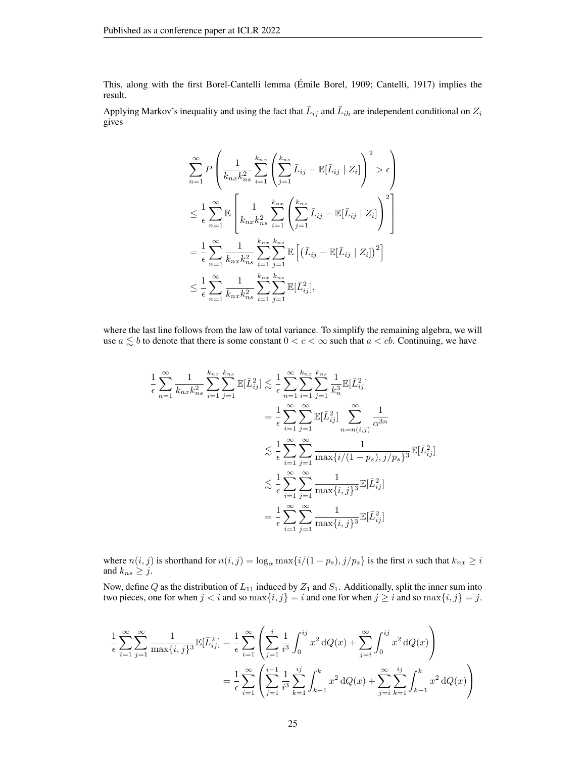This, along with the first Borel-Cantelli lemma (Emile Borel, 1909; Cantelli, 1917) implies the ´ result.

Applying Markov's inequality and using the fact that  $\bar{L}_{ij}$  and  $\bar{L}_{ih}$  are independent conditional on  $Z_i$ gives

$$
\sum_{n=1}^{\infty} P\left(\frac{1}{k_{nx}k_{ns}^2} \sum_{i=1}^{k_{nx}} \left(\sum_{j=1}^{k_{ns}} \bar{L}_{ij} - \mathbb{E}[\bar{L}_{ij} | Z_i] \right)^2 > \epsilon\right)
$$
  

$$
\leq \frac{1}{\epsilon} \sum_{n=1}^{\infty} \mathbb{E}\left[\frac{1}{k_{nx}k_{ns}^2} \sum_{i=1}^{k_{nx}} \left(\sum_{j=1}^{k_{ns}} \bar{L}_{ij} - \mathbb{E}[\bar{L}_{ij} | Z_i] \right)^2\right]
$$
  

$$
= \frac{1}{\epsilon} \sum_{n=1}^{\infty} \frac{1}{k_{nx}k_{ns}^2} \sum_{i=1}^{k_{nx}} \sum_{j=1}^{k_{ns}} \mathbb{E}\left[(\bar{L}_{ij} - \mathbb{E}[\bar{L}_{ij} | Z_i])^2\right]
$$
  

$$
\leq \frac{1}{\epsilon} \sum_{n=1}^{\infty} \frac{1}{k_{nx}k_{ns}^2} \sum_{i=1}^{k_{nx}} \sum_{j=1}^{k_{ns}} \mathbb{E}[\bar{L}_{ij}^2],
$$

where the last line follows from the law of total variance. To simplify the remaining algebra, we will use  $a \lesssim b$  to denote that there is some constant  $0 < c < \infty$  such that  $a < cb$ . Continuing, we have

$$
\frac{1}{\epsilon} \sum_{n=1}^{\infty} \frac{1}{k_{nx} k_{ns}^2} \sum_{i=1}^{k_{ns}} \sum_{j=1}^{k_{ns}} \mathbb{E}[\bar{L}_{ij}^2] \lesssim \frac{1}{\epsilon} \sum_{n=1}^{\infty} \sum_{i=1}^{\infty} \sum_{j=1}^{k_{ns}} \sum_{k=1}^{k_{ns}} \frac{1}{k_n^3} \mathbb{E}[\bar{L}_{ij}^2]
$$
\n
$$
= \frac{1}{\epsilon} \sum_{i=1}^{\infty} \sum_{j=1}^{\infty} \mathbb{E}[\bar{L}_{ij}^2] \sum_{n=n(i,j)}^{\infty} \frac{1}{\alpha^{3n}}
$$
\n
$$
\lesssim \frac{1}{\epsilon} \sum_{i=1}^{\infty} \sum_{j=1}^{\infty} \frac{1}{\max\{i/(1-p_s), j/p_s\}^3} \mathbb{E}[\bar{L}_{ij}^2]
$$
\n
$$
\lesssim \frac{1}{\epsilon} \sum_{i=1}^{\infty} \sum_{j=1}^{\infty} \frac{1}{\max\{i, j\}^3} \mathbb{E}[\bar{L}_{ij}^2]
$$
\n
$$
= \frac{1}{\epsilon} \sum_{i=1}^{\infty} \sum_{j=1}^{\infty} \frac{1}{\max\{i, j\}^3} \mathbb{E}[\bar{L}_{ij}^2]
$$

where  $n(i, j)$  is shorthand for  $n(i, j) = \log_{\alpha} \max\{i/(1-p_s), j/p_s\}$  is the first n such that  $k_{nx} \geq i$ and  $k_{ns} \geq j$ .

Now, define Q as the distribution of  $L_{11}$  induced by  $Z_1$  and  $S_1$ . Additionally, split the inner sum into two pieces, one for when  $j < i$  and so  $\max\{i, j\} = i$  and one for when  $j \ge i$  and so  $\max\{i, j\} = j$ .

$$
\frac{1}{\epsilon} \sum_{i=1}^{\infty} \sum_{j=1}^{\infty} \frac{1}{\max\{i,j\}^3} \mathbb{E}[\bar{L}_{ij}^2] = \frac{1}{\epsilon} \sum_{i=1}^{\infty} \left( \sum_{j=1}^{i} \frac{1}{i^3} \int_0^{ij} x^2 dQ(x) + \sum_{j=i}^{\infty} \int_0^{ij} x^2 dQ(x) \right)
$$

$$
= \frac{1}{\epsilon} \sum_{i=1}^{\infty} \left( \sum_{j=1}^{i-1} \frac{1}{i^3} \sum_{k=1}^{ij} \int_{k-1}^k x^2 dQ(x) + \sum_{j=i}^{\infty} \sum_{k=1}^{ij} \int_{k-1}^k x^2 dQ(x) \right)
$$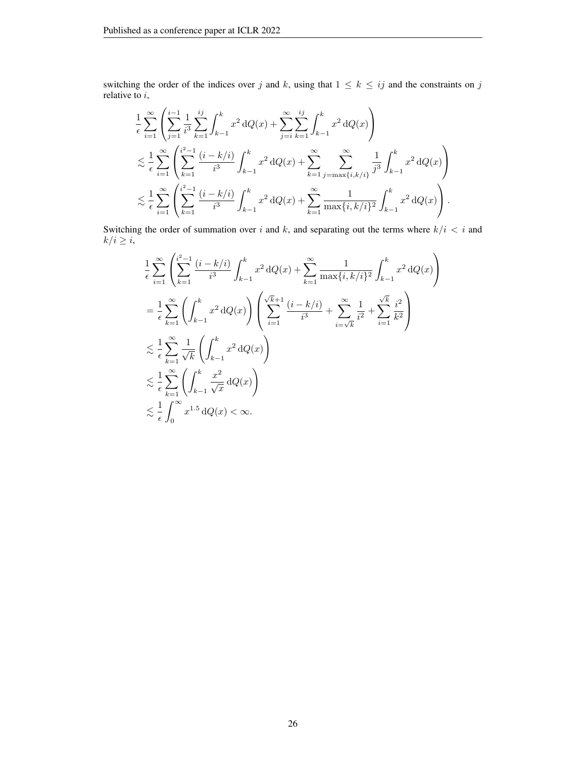switching the order of the indices over j and k, using that  $1 \leq k \leq ij$  and the constraints on j relative to i,

$$
\begin{split}\n&\frac{1}{\epsilon} \sum_{i=1}^{\infty} \left( \sum_{j=1}^{i-1} \frac{1}{i^3} \sum_{k=1}^{ij} \int_{k-1}^{k} x^2 \, \mathrm{d}Q(x) + \sum_{j=i}^{\infty} \sum_{k=1}^{ij} \int_{k-1}^{k} x^2 \, \mathrm{d}Q(x) \right) \\
&\lesssim \frac{1}{\epsilon} \sum_{i=1}^{\infty} \left( \sum_{k=1}^{i^2-1} \frac{(i-k/i)}{i^3} \int_{k-1}^{k} x^2 \, \mathrm{d}Q(x) + \sum_{k=1}^{\infty} \sum_{j=\max\{i,k/i\}}^{\infty} \frac{1}{j^3} \int_{k-1}^{k} x^2 \, \mathrm{d}Q(x) \right) \\
&\lesssim \frac{1}{\epsilon} \sum_{i=1}^{\infty} \left( \sum_{k=1}^{i^2-1} \frac{(i-k/i)}{i^3} \int_{k-1}^{k} x^2 \, \mathrm{d}Q(x) + \sum_{k=1}^{\infty} \frac{1}{\max\{i,k/i\}^2} \int_{k-1}^{k} x^2 \, \mathrm{d}Q(x) \right).\n\end{split}
$$

Switching the order of summation over i and k, and separating out the terms where  $k/i < i$  and  $k/i \geq i$ ,

$$
\frac{1}{\epsilon} \sum_{i=1}^{\infty} \left( \sum_{k=1}^{i^2-1} \frac{(i-k/i)}{i^3} \int_{k-1}^k x^2 dQ(x) + \sum_{k=1}^{\infty} \frac{1}{\max\{i, k/i\}^2} \int_{k-1}^k x^2 dQ(x) \right)
$$
\n
$$
= \frac{1}{\epsilon} \sum_{k=1}^{\infty} \left( \int_{k-1}^k x^2 dQ(x) \right) \left( \sum_{i=1}^{\sqrt{k}+1} \frac{(i-k/i)}{i^3} + \sum_{i=\sqrt{k}}^{\infty} \frac{1}{i^2} + \sum_{i=1}^{\sqrt{k}} \frac{i^2}{k^2} \right)
$$
\n
$$
\lesssim \frac{1}{\epsilon} \sum_{k=1}^{\infty} \frac{1}{\sqrt{k}} \left( \int_{k-1}^k x^2 dQ(x) \right)
$$
\n
$$
\lesssim \frac{1}{\epsilon} \sum_{k=1}^{\infty} \left( \int_{k-1}^k \frac{x^2}{\sqrt{x}} dQ(x) \right)
$$
\n
$$
\lesssim \frac{1}{\epsilon} \int_0^{\infty} x^{1.5} dQ(x) < \infty.
$$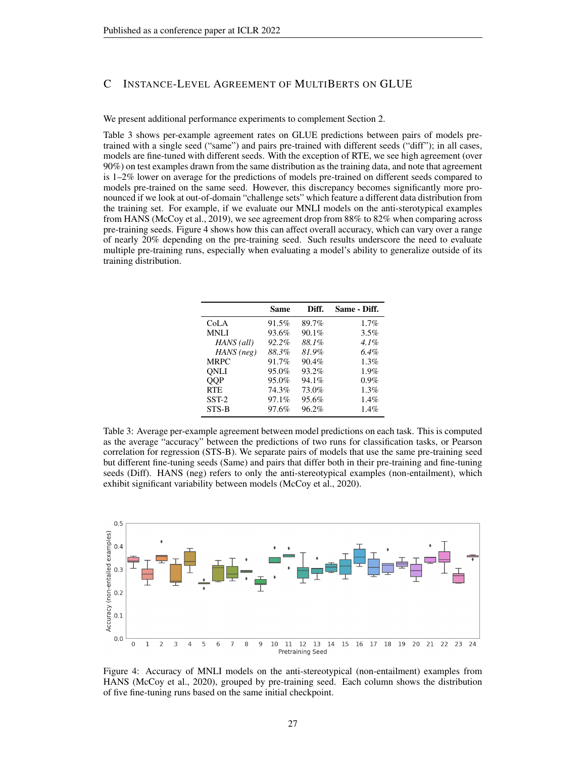## C INSTANCE-LEVEL AGREEMENT OF MULTIBERTS ON GLUE

We present additional performance experiments to complement Section 2.

Table 3 shows per-example agreement rates on GLUE predictions between pairs of models pretrained with a single seed ("same") and pairs pre-trained with different seeds ("diff"); in all cases, models are fine-tuned with different seeds. With the exception of RTE, we see high agreement (over 90%) on test examples drawn from the same distribution as the training data, and note that agreement is 1–2% lower on average for the predictions of models pre-trained on different seeds compared to models pre-trained on the same seed. However, this discrepancy becomes significantly more pronounced if we look at out-of-domain "challenge sets" which feature a different data distribution from the training set. For example, if we evaluate our MNLI models on the anti-sterotypical examples from HANS (McCoy et al., 2019), we see agreement drop from 88% to 82% when comparing across pre-training seeds. Figure 4 shows how this can affect overall accuracy, which can vary over a range of nearly 20% depending on the pre-training seed. Such results underscore the need to evaluate multiple pre-training runs, especially when evaluating a model's ability to generalize outside of its training distribution.

|              | Same     | Diff. | Same - Diff. |
|--------------|----------|-------|--------------|
| CoLA         | 91.5%    | 89.7% | $1.7\%$      |
| <b>MNLI</b>  | 93.6%    | 90.1% | $3.5\%$      |
| HANS (all)   | $92.2\%$ | 88.1% | 4.1%         |
| $HANS$ (neg) | 88.3%    | 81.9% | 6.4%         |
| <b>MRPC</b>  | 91.7%    | 90.4% | $1.3\%$      |
| ONLI         | 95.0%    | 93.2% | 1.9%         |
| OOP          | 95.0%    | 94.1% | $0.9\%$      |
| <b>RTE</b>   | 74.3%    | 73.0% | $1.3\%$      |
| $SST-2$      | 97.1%    | 95.6% | 1.4%         |
| STS-B        | 97.6%    | 96.2% | $1.4\%$      |

Table 3: Average per-example agreement between model predictions on each task. This is computed as the average "accuracy" between the predictions of two runs for classification tasks, or Pearson correlation for regression (STS-B). We separate pairs of models that use the same pre-training seed but different fine-tuning seeds (Same) and pairs that differ both in their pre-training and fine-tuning seeds (Diff). HANS (neg) refers to only the anti-stereotypical examples (non-entailment), which exhibit significant variability between models (McCoy et al., 2020).



Figure 4: Accuracy of MNLI models on the anti-stereotypical (non-entailment) examples from HANS (McCoy et al., 2020), grouped by pre-training seed. Each column shows the distribution of five fine-tuning runs based on the same initial checkpoint.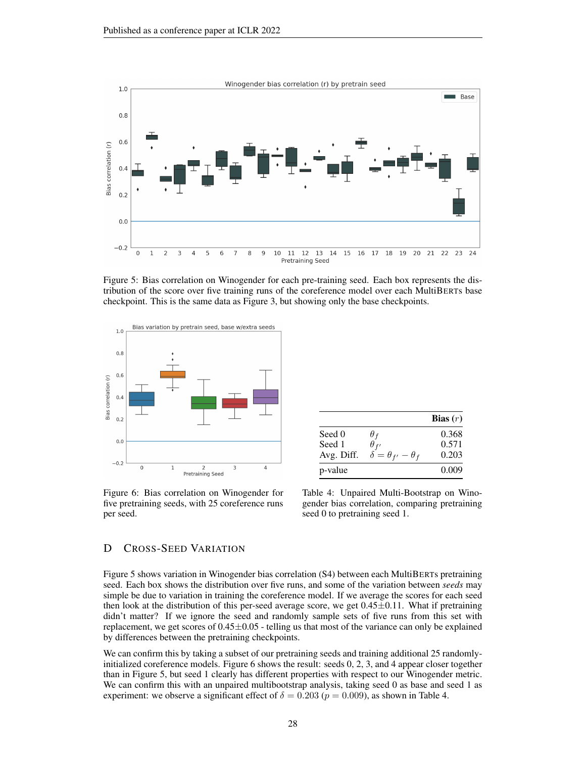

Figure 5: Bias correlation on Winogender for each pre-training seed. Each box represents the distribution of the score over five training runs of the coreference model over each MultiBERTs base checkpoint. This is the same data as Figure 3, but showing only the base checkpoints.



Figure 6: Bias correlation on Winogender for five pretraining seeds, with 25 coreference runs per seed.

|            |                                   | <b>Bias</b> $(r)$ |
|------------|-----------------------------------|-------------------|
| Seed 0     | $\theta$ f                        | 0.368             |
| Seed 1     | $\theta$ f i                      | 0.571             |
| Avg. Diff. | $\delta = \theta_{f'} - \theta_f$ | 0.203             |
| p-value    |                                   | 0.009             |

Table 4: Unpaired Multi-Bootstrap on Winogender bias correlation, comparing pretraining seed 0 to pretraining seed 1.

## D CROSS-SEED VARIATION

Figure 5 shows variation in Winogender bias correlation (S4) between each MultiBERTs pretraining seed. Each box shows the distribution over five runs, and some of the variation between *seeds* may simple be due to variation in training the coreference model. If we average the scores for each seed then look at the distribution of this per-seed average score, we get  $0.45\pm0.11$ . What if pretraining didn't matter? If we ignore the seed and randomly sample sets of five runs from this set with replacement, we get scores of  $0.45\pm0.05$  - telling us that most of the variance can only be explained by differences between the pretraining checkpoints.

We can confirm this by taking a subset of our pretraining seeds and training additional 25 randomlyinitialized coreference models. Figure 6 shows the result: seeds 0, 2, 3, and 4 appear closer together than in Figure 5, but seed 1 clearly has different properties with respect to our Winogender metric. We can confirm this with an unpaired multibootstrap analysis, taking seed 0 as base and seed 1 as experiment: we observe a significant effect of  $\delta = 0.203$  ( $p = 0.009$ ), as shown in Table 4.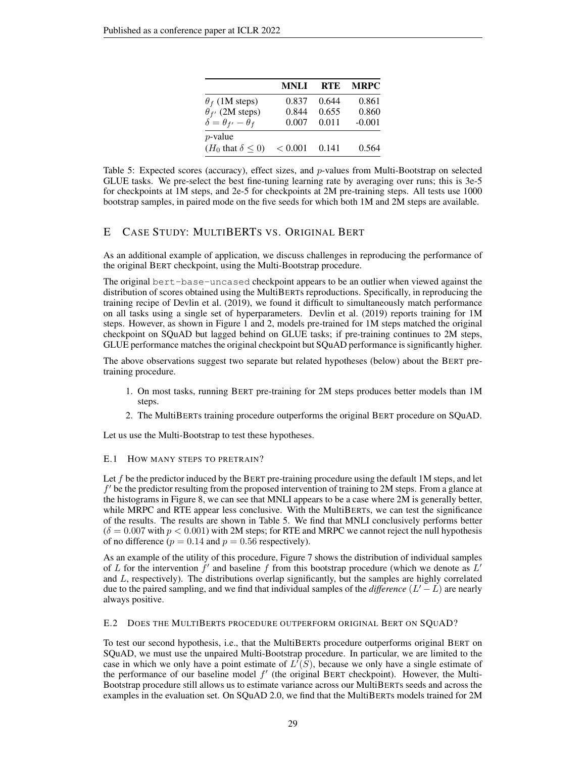|                                         | MNLI    | <b>RTE</b> | <b>MRPC</b> |
|-----------------------------------------|---------|------------|-------------|
| $\theta_f$ (1M steps)                   | 0.837   | 0.644      | 0.861       |
| $\dot{\theta_{f}}$ (2M steps)           | 0.844   | 0.655      | 0.860       |
| $\delta = \theta_{f'} - \bar{\theta}_f$ | 0.007   | 0.011      | $-0.001$    |
| $p$ -value                              |         |            |             |
| $(H_0 \text{ that } \delta \leq 0)$     | < 0.001 | 0.141      | 0.564       |

Table 5: Expected scores (accuracy), effect sizes, and *p*-values from Multi-Bootstrap on selected GLUE tasks. We pre-select the best fine-tuning learning rate by averaging over runs; this is 3e-5 for checkpoints at 1M steps, and 2e-5 for checkpoints at 2M pre-training steps. All tests use 1000 bootstrap samples, in paired mode on the five seeds for which both 1M and 2M steps are available.

# E CASE STUDY: MULTIBERTS VS. ORIGINAL BERT

As an additional example of application, we discuss challenges in reproducing the performance of the original BERT checkpoint, using the Multi-Bootstrap procedure.

The original bert-base-uncased checkpoint appears to be an outlier when viewed against the distribution of scores obtained using the MultiBERTs reproductions. Specifically, in reproducing the training recipe of Devlin et al. (2019), we found it difficult to simultaneously match performance on all tasks using a single set of hyperparameters. Devlin et al. (2019) reports training for 1M steps. However, as shown in Figure 1 and 2, models pre-trained for 1M steps matched the original checkpoint on SQuAD but lagged behind on GLUE tasks; if pre-training continues to 2M steps, GLUE performance matches the original checkpoint but SQuAD performance is significantly higher.

The above observations suggest two separate but related hypotheses (below) about the BERT pretraining procedure.

- 1. On most tasks, running BERT pre-training for 2M steps produces better models than 1M steps.
- 2. The MultiBERTs training procedure outperforms the original BERT procedure on SQuAD.

Let us use the Multi-Bootstrap to test these hypotheses.

## E.1 HOW MANY STEPS TO PRETRAIN?

Let f be the predictor induced by the BERT pre-training procedure using the default 1M steps, and let f ′ be the predictor resulting from the proposed intervention of training to 2M steps. From a glance at the histograms in Figure 8, we can see that MNLI appears to be a case where 2M is generally better, while MRPC and RTE appear less conclusive. With the MultiBERTs, we can test the significance of the results. The results are shown in Table 5. We find that MNLI conclusively performs better  $(\delta = 0.007 \text{ with } p < 0.001)$  with 2M steps; for RTE and MRPC we cannot reject the null hypothesis of no difference ( $p = 0.14$  and  $p = 0.56$  respectively).

As an example of the utility of this procedure, Figure 7 shows the distribution of individual samples of L for the intervention f' and baseline f from this bootstrap procedure (which we denote as  $L'$ and L, respectively). The distributions overlap significantly, but the samples are highly correlated due to the paired sampling, and we find that individual samples of the *difference*  $(L'-L)$  are nearly always positive.

## E.2 DOES THE MULTIBERTS PROCEDURE OUTPERFORM ORIGINAL BERT ON SQUAD?

To test our second hypothesis, i.e., that the MultiBERTs procedure outperforms original BERT on SQuAD, we must use the unpaired Multi-Bootstrap procedure. In particular, we are limited to the case in which we only have a point estimate of  $L'(S)$ , because we only have a single estimate of the performance of our baseline model f' (the original BERT checkpoint). However, the Multi-Bootstrap procedure still allows us to estimate variance across our MultiBERTs seeds and across the examples in the evaluation set. On SQuAD 2.0, we find that the MultiBERTs models trained for 2M